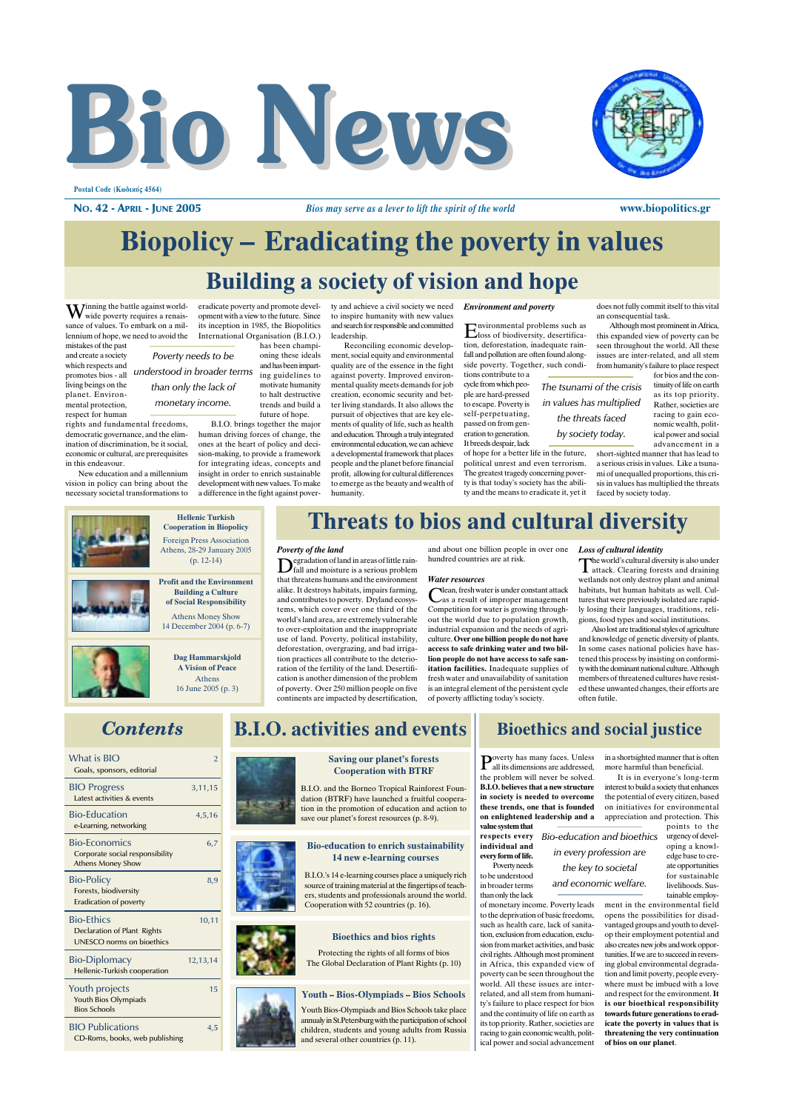



Postal Code (Κωδικός 4564)

**NO. 42 - APRIL - JUNE 2005** 

# **Biopolicy – Eradicating the poverty in values**

## **Building a society of vision and hope**

Winning the battle against worldwide noverty requires a renaissance of values. To embark on a millennium of hope, we need to avoid the mistakes of the past

and create a society which respects and promotes bios - all iving beings on the planet. Environmental protection. respect for human

rights and fundamental freedoms democratic governance, and the elimination of discrimination, be it social. economic or cultural, are prerequisites in this endeavour.

New education and a millennium vision in policy can bring about the necessary societal transformations to eradicate poverty and promote development with a view to the future. Since its inception in 1985, the Biopolitics International Organisation (B.I.O.) has been champi

oning these ideals Poverty needs to be and has been impartunderstood in broader terms ing guidelines to motivate humanity than only the lack of to halt destructive monetary income trends and build a future of hone.

> B.I.O. brings together the major human driving forces of change, the ones at the heart of policy and decision-making, to provide a framework for integrating ideas, concepts and insight in order to enrich sustainable development with new values. To make a difference in the fight against pover

ty and achieve a civil society we need to inspire humanity with new values and search for responsible and committed leadership.

Reconciling economic development, social equity and environmental quality are of the essence in the fight against poverty. Improved environmental quality meets demands for job creation, economic security and better living standards. It also allows the pursuit of objectives that are key elements of quality of life, such as health and education. Through a truly integrated environmental education, we can achieve a developmental framework that places people and the planet before financial profit, allowing for cultural differences to emerge as the beauty and wealth of humanity

**Environment and poverty** 

nvironmental problems such as  $E<sub>loss of biodiversity, desertifica-  
uis</sub>$ tion, deforestation, inadequate rainfall and pollution are often found alongside poverty. Together, such condi-<br>tions contribute to a

cycle from which peo-The tsunami of the crisis ple are hard-pressed in values has multiplied to escape. Poverty is self-perpetuating, passed on from generation to generation. It breeds despair, lack

of hope for a better life in the future. political unrest and even terrorism. The greatest tragedy concerning poverty is that today's society has the ability and the means to eradicate it, yet it does not fully commit itself to this vital an consequential task

www.biopolitics.gr

Although most prominent in Africa. this expanded view of poverty can be seen throughout the world. All these issues are inter-related, and all stem from humanity's failure to place respect for bios and the con-

tinuity of life on earth as its top priority. Rather, societies are racing to gain economic wealth, political power and social advancement in a

short-sighted manner that has lead to a serious crisis in values. Like a tsunami of unequalled proportions, this crisis in values has multiplied the threats faced by society today

**Hellenic Turkish Cooperation in Biopolicy** Foreign Press Association Athens, 28-29 January 2005 Poverty of the land  $\sum_{\text{fall and moisture is a serious problem}}$  $(p. 12-14)$ 

**Profit and the Environment** 

**Building a Culture** 

of Social Responsibility

**Athens Money Show** 

14 December 2004 (p. 6-7)

Dag Hammarskjold

A Vision of Peace

Athens

16 June 2005 (p. 3)

that threatens humans and the environment alike. It destroys habitats, impairs farming, and contributes to poverty. Dryland ecosys tems, which cover over one third of the world's land area, are extremely vulnerable to over-exploitation and the inappropriate use of land. Poverty, political instability, deforestation, overgrazing, and bad irrigation practices all contribute to the deterioration of the fertility of the land. Desertification is another dimension of the problem of poverty. Over 250 million people on five continents are impacted by desertification

**B.I.O.** activities and events

## **Threats to bios and cultural diversity**

and about one billion people in over one Loss of cultural identity hundred countries are at risk.

#### **Water resources**

lean, fresh water is under constant attack as a result of improper management Competition for water is growing throughout the world due to population growth. industrial expansion and the needs of agriculture. Over one billion people do not have access to safe drinking water and two billion people do not have access to safe sanitation facilities. Inadequate supplies of fresh water and unavailability of sanitation is an integral element of the persistent cycle of poverty afflicting today's society.

the world's cultural diversity is also under  $\prod$ he world s cultural diversity  $\omega$  and draining wetlands not only destroy plant and animal<br>habitats, but human habitats as well. Cultures that were previously isolated are rapidly losing their languages, traditions, religions, food types and social institutions.

Also lost are traditional styles of agriculture and knowledge of genetic diversity of plants. In some cases national policies have hastened this process by insisting on conformity with the dominant national culture. Although members of threatened cultures have resisted these unwanted changes, their efforts are often futile

in a shortsighted manner that is often

interest to build a society that enhances

the potential of every citizen, based

on initiatives for environmental

appreciation and protection. This

points to the urgency of devel-

oping a knowl-

edge base to cre-

ate opportunities

for sustainable

livelihoods. Sustainable employ

It is in everyone's long-term

more harmful than beneficial.

## **Contents**

| What is BIO<br>Goals, sponsors, editorial                                           | $\overline{2}$ |  |
|-------------------------------------------------------------------------------------|----------------|--|
| <b>BIO Progress</b><br>Latest activities & events                                   | 3,11,15        |  |
| <b>Bio-Education</b><br>e-Learning, networking                                      | 4,5,16         |  |
| <b>Bio-Economics</b><br>Corporate social responsibility<br><b>Athens Money Show</b> | 6,7            |  |
| <b>Bio-Policy</b><br>Forests, biodiversity<br><b>Eradication of poverty</b>         | 8.9            |  |
| <b>Bio-Ethics</b><br>Declaration of Plant Rights<br>UNESCO norms on bioethics       | 10,11          |  |
| <b>Bio-Diplomacy</b><br>Hellenic-Turkish cooperation                                | 12,13,14       |  |
| Youth projects<br>Youth Bios Olympiads<br><b>Bios Schools</b>                       | 15             |  |
| <b>BIO Publications</b><br>CD-Roms, books, web publishing                           | 4.5            |  |

## **Saving our planet's forests Cooperation with BTRF**

B.I.O. and the Borneo Tropical Rainforest Foundation (BTRF) have launched a fruitful cooperation in the promotion of education and action to save our planet's forest resources (p. 8-9).

#### **Bio-education to enrich sustainability** 14 new e-learning courses

B.I.O.'s 14 e-learning courses place a uniquely rich source of training material at the fingertips of teachers, students and professionals around the world. Cooperation with 52 countries (p. 16).



Protecting the rights of all forms of bios The Global Declaration of Plant Rights (p. 10)

#### **Youth - Bios-Olympiads - Bios Schools**

Youth Bios-Olympiads and Bios Schools take place annualy in St.Petersburg with the participation of school children, students and young adults from Russia and several other countries (p. 11).

## **Bioethics and social justice**

the threats faced

by society today.

Poverty has many faces. Unless all its dimensions are addressed. the problem will never be solved.  $\overrightarrow{R.LO}$ , believes that a new structure in society is needed to overcome these trends, one that is founded on enlightened leadership and a value system that

poverty can be seen throughout the

world. All these issues are inter-

related, and all stem from humani-

ty's failure to place respect for bios

and the continuity of life on earth as

its top priority. Rather, societies are

racing to gain economic wealth, polit-

ical power and social advancement

respects every **Bio-education and bioethics** individual and every form of life. Poverty needs

to be understood in broader terms than only the lack

ment in the environmental field of monetary income. Poverty leads to the deprivation of basic freedoms, opens the possibilities for disadsuch as health care, lack of sanitavantaged groups and youth to develtion, exclusion from education, excluop their employment potential and sion from market activities, and basic civil rights. Although most prominent in Africa this expanded view of

also creates new jobs and work opportunities. If we are to succeed in reversing global environmental degradation and limit poverty, people everywhere must be imbued with a love and respect for the environment. It is our bioethical responsibility towards future generations to eradicate the poverty in values that is threatening the very continuation of bios on our planet.

in every profession are

the key to societal and economic welfare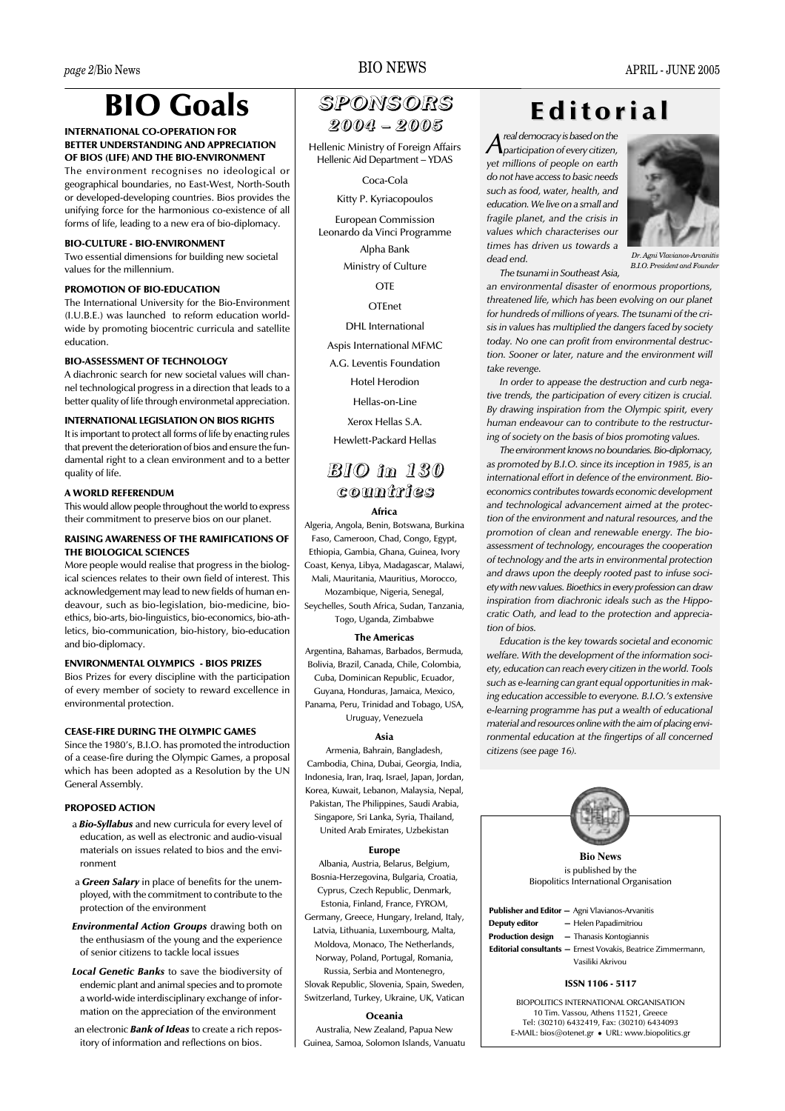# **BIO Goals**

## INTERNATIONAL CO-OPERATION FOR **RETTER UNDERSTANDING AND APPRECIATION** OF BIOS (LIFE) AND THE BIO-ENVIRONMENT

The environment recognises no ideological or geographical boundaries, no East-West, North-South or developed-developing countries. Bios provides the unifying force for the harmonious co-existence of all forms of life, leading to a new era of bio-diplomacy.

## **BIO-CULTURE - BIO-ENVIRONMENT**

Two essential dimensions for building new societal values for the millennium.

## PROMOTION OF BIO-EDUCATION

The International University for the Bio-Environment (I.U.B.E.) was launched to reform education worldwide by promoting biocentric curricula and satellite education.

## **RIO-ASSESSMENT OF TECHNOLOGY**

A diachronic search for new societal values will channel technological progress in a direction that leads to a better quality of life through environmetal appreciation.

### **INTERNATIONAL LEGISLATION ON BIOS RIGHTS**

It is important to protect all forms of life by enacting rules that prevent the deterioration of bios and ensure the fundamental right to a clean environment and to a better quality of life.

#### A WORLD REFERENDUM

This would allow people throughout the world to express their commitment to preserve bios on our planet.

## **RAISING AWARENESS OF THE RAMIFICATIONS OF** THE BIOLOGICAL SCIENCES

More people would realise that progress in the biological sciences relates to their own field of interest. This acknowledgement may lead to new fields of human endeavour, such as bio-legislation, bio-medicine, bioethics, bio-arts, bio-linguistics, bio-economics, bio-athletics, bio-communication, bio-history, bio-education and bio-diplomacy.

### **ENVIRONMENTAL OLYMPICS - BIOS PRIZES**

Bios Prizes for every discipline with the participation of every member of society to reward excellence in environmental protection.

## **CEASE-FIRE DURING THE OLYMPIC GAMES**

Since the 1980's, B.I.O. has promoted the introduction of a cease-fire during the Olympic Games, a proposal which has been adopted as a Resolution by the UN General Assembly.

#### **PROPOSED ACTION**

- a **Bio-Syllabus** and new curricula for every level of education, as well as electronic and audio-visual materials on issues related to bios and the environment
- a Green Salary in place of benefits for the unemployed, with the commitment to contribute to the protection of the environment
- Environmental Action Groups drawing both on the enthusiasm of the young and the experience of senior citizens to tackle local issues
- Local Genetic Banks to save the biodiversity of endemic plant and animal species and to promote a world-wide interdisciplinary exchange of information on the appreciation of the environment

an electronic **Bank of Ideas** to create a rich repository of information and reflections on bios.

## **BIO NEWS**

## SPONSORS 2004 - 2005

Hellenic Ministry of Foreign Affairs Hellenic Aid Department - YDAS

Coca-Cola

Kitty P. Kyriacopoulos

**European Commission** Leonardo da Vinci Programme Alpha Bank Ministry of Culture

**OTE** 

OTFnet

**DHL** International

Aspis International MFMC

A.G. Leventis Foundation

**Hotel Herodion** 

Hellas-on-Line

Xerox Hellas S.A.

**Hewlett-Packard Hellas** 

## **BIO** in 130 countries

Africa

Algeria, Angola, Benin, Botswana, Burkina Faso, Cameroon, Chad, Congo, Egypt, Ethiopia, Gambia, Ghana, Guinea, Ivory Coast, Kenya, Libya, Madagascar, Malawi, Mali, Mauritania, Mauritius, Morocco. Mozambique, Nigeria, Senegal, Sevchelles, South Africa, Sudan, Tanzania.

Togo, Uganda, Zimbabwe

#### **The Americas**

Argentina, Bahamas, Barbados, Bermuda, Bolivia, Brazil, Canada, Chile, Colombia, Cuba, Dominican Republic, Ecuador, Guyana, Honduras, Jamaica, Mexico, Panama, Peru, Trinidad and Tobago, USA, Uruguay, Venezuela

### Asia

Armenia, Bahrain, Bangladesh, Cambodia, China, Dubai, Georgia, India, Indonesia, Iran, Iraq, Israel, Japan, Jordan, Korea, Kuwait, Lebanon, Malaysia, Nepal, Pakistan, The Philippines, Saudi Arabia, Singapore, Sri Lanka, Syria, Thailand, United Arab Emirates, Uzbekistan

#### **Europe**

Albania, Austria, Belarus, Belgium, Bosnia-Herzegovina, Bulgaria, Croatia, Cyprus, Czech Republic, Denmark,

Estonia, Finland, France, FYROM,

Germany, Greece, Hungary, Ireland, Italy, Latvia, Lithuania, Luxembourg, Malta, Moldova, Monaco, The Netherlands, Norway, Poland, Portugal, Romania,

Russia. Serbia and Montenegro.

Slovak Republic, Slovenia, Spain, Sweden, Switzerland, Turkey, Ukraine, UK, Vatican

#### Oceania

Guinea, Samoa, Solomon Islands, Vanuatu

## Editorial

real democracy is based on the  $A$ participation of every citizen, yet millions of people on earth do not have access to basic needs such as food, water, health, and education. We live on a small and fragile planet, and the crisis in values which characterises our times has driven us towards a  $dead$  end

The tsunami in Southeast Asia



Dr. Agni Vlavi **B.I.O.** President and Founder

an environmental disaster of enormous proportions, threatened life, which has been evolving on our planet for hundreds of millions of years. The tsunami of the crisis in values has multiplied the dangers faced by society today. No one can profit from environmental destruction. Sooner or later, nature and the environment will take revenge.

In order to appease the destruction and curb negative trends, the participation of every citizen is crucial. By drawing inspiration from the Olympic spirit, every human endeavour can to contribute to the restructuring of society on the basis of bios promoting values.

The environment knows no boundaries. Bio-diplomacy, as promoted by B.I.O. since its inception in 1985, is an international effort in defence of the environment. Bioeconomics contributes towards economic development and technological advancement aimed at the protection of the environment and natural resources, and the promotion of clean and renewable energy. The bioassessment of technology, encourages the cooperation of technology and the arts in environmental protection and draws upon the deeply rooted past to infuse society with new values. Bioethics in every profession can draw inspiration from diachronic ideals such as the Hippocratic Oath, and lead to the protection and appreciation of hios

Education is the key towards societal and economic welfare. With the development of the information society, education can reach every citizen in the world. Tools such as e-learning can grant equal opportunities in making education accessible to everyone. B.I.O.'s extensive e-learning programme has put a wealth of educational material and resources online with the aim of placing environmental education at the fingertips of all concerned citizens (see page 16).



Australia, New Zealand, Papua New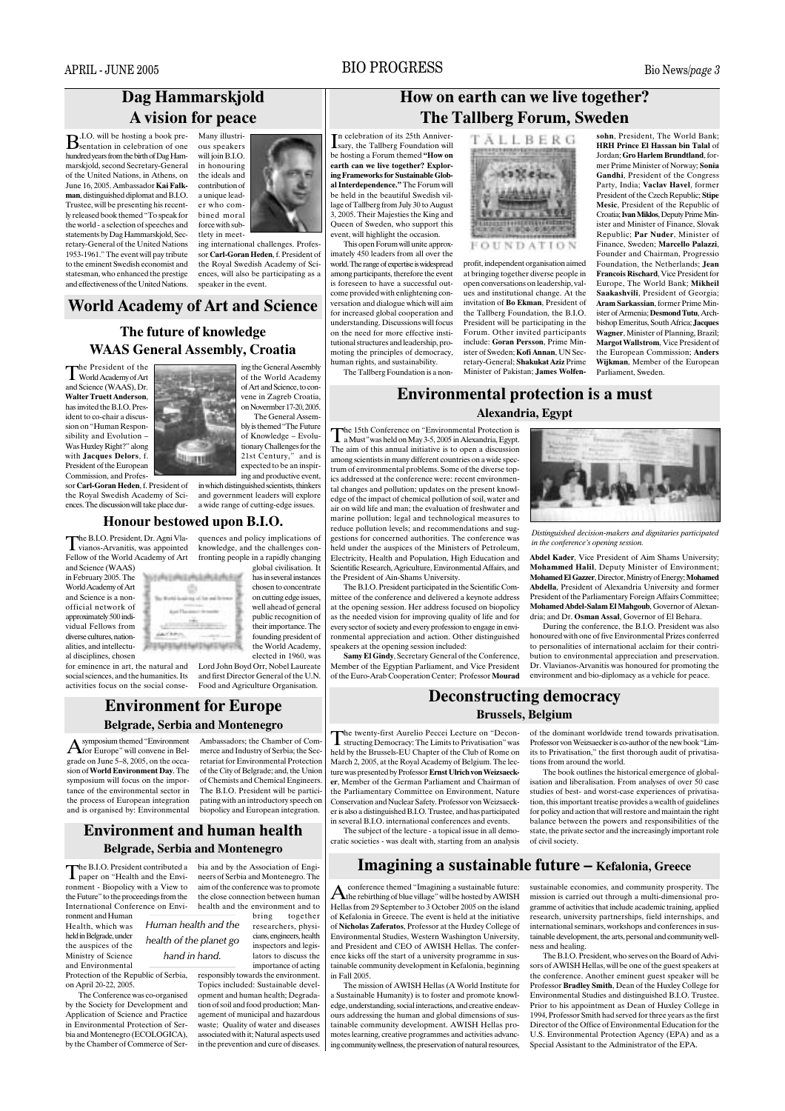## **BIO PROGRESS**

## Dag Hammarskjold A vision for peace

**B.I.O.** will be hosting a book pre-<br>**B**sentation in celebration of one hundred years from the birth of Dag Hammarskjold, second Secretary-General of the United Nations in Athens on June 16, 2005. Ambassador Kai Falkman, distinguished diplomat and B.I.O. Trustee, will be presenting his recently released book themed "To speak for the world - a selection of speeches and statements by Dag Hammarskiold, Secretary-General of the United Nations 1953-1961." The event will pay tribute to the eminent Swedish economist and statesman, who enhanced the prestige and effectiveness of the United Nations.

Many illustri ous speakers will join  $BIO$  $\sum_{i=1}^{n}$ the ideals and contribution of a unique leader who combined moral force with subtlety in meet-

ing international challenges. Profes sor Carl-Goran Heden, f. President of the Royal Swedish Academy of Sciences, will also be participating as a speaker in the event.

## **World Academy of Art and Science**

## The future of knowledge **WAAS General Assembly, Croatia**

The President of the<br>World Academy of Art and Science  $(WAAS)$  Dr. Walter Truett Anderson, has invited the B.I.O. President to co-chair a discussion on "Human Responsibility and Evolution -Was Huxley Right?" along with Jacques Delors, f. President of the European Commission and Profes

sor Carl-Goran Heden, f. President of

the Royal Swedish Academy of Sci-

ences. The discussion will take place dur-

ing the General Assembly of the World Academy of Art and Science, to convene in Zagreb Croatia on Novermber 17-20, 2005. The General Assem bly is themed "The Future of Knowledge - Evolu tionary Challenges for the<br>21st Century," and is expected to be an inspir ing and productive event.

in which distinguished scientists, thinkers and government leaders will explore a wide range of cutting-edge issues.

## Honour bestowed upon B.I.O.

The B.I.O. President, Dr. Agni Vla-<br>vianos-Arvanitis, was appointed quences and policy implications of knowledge, and the challenges con-Fellow of the World Academy of Art fronting people in a rapidly changing

and Science (WAAS) in February 2005. The World Academy of Art and Science is a nonofficial network of approximately 500 individual Fellows from diverse cultures, nationalities, and intellectual disciplines, chosen

for eminence in art, the natural and social sciences, and the humanities. Its activities focus on the social conse-

# **Environment for Europe**

#### **Belgrade, Serbia and Montenegro**

symposium themed "Environment A symposium themed "Environment"<br>grade on June 5–8, 2005, on the occasion of World Environment Day. The symposium will focus on the importance of the environmental sector in the process of European integration and is organised by: Environmental

has in several instances chosen to concentrate on cutting edge issues well ahead of general public recognition of their importance. The founding president of the World Academy elected in 1960, was Lord John Boyd Orr, Nobel Laureate

and first Director General of the UN Food and Agriculture Organisation

Ambassadors: the Chamber of Com merce and Industry of Serbia; the Secretariat for Environmental Protection of the City of Belgrade; and, the Union of Chemists and Chemical Engineers The B.I.O. President will be participating with an introductory speech on biopolicy and European integration

## **Environment and human health Belgrade, Serbia and Montenegro**

The B.I.O. President contributed a<br>paper on "Health and the Environment - Biopolicy with a View to the Future" to the proceedings from the International Conference on Environment and Human

Health, which was held in Belgrade, under the auspices of the Ministry of Science and Environmental

Protection of the Republic of Serbia, on April 20-22, 2005.

The Conference was co-organised by the Society for Development and Application of Science and Practice in Environmental Protection of Serbia and Montenegro (ECOLOGICA), by the Chamber of Commerce of Serbia and by the Association of Engineers of Serbia and Montenegro. The aim of the conference was to promote the close connection between human health and the environment and to

bring together Human health and the researchers, physicians, engineers, health health of the planet go inspectors and legislators to discuss the hand in hand. importance of acting responsibly towards the environment

Topics included: Sustainable development and human health; Degradation of soil and food production: Management of municipal and hazardous waste: Ouality of water and diseases associated with it; Natural aspects used in the prevention and cure of diseases

## How on earth can we live together? **The Tallberg Forum, Sweden**

n celebration of its 25th Anniversary, the Tallberg Foundation will be hosting a Forum themed "How on earth can we live together? Exploring Frameworks for Sustainable Global Interdependence." The Forum will be held in the beautiful Swedish village of Tallberg from July 30 to August 3, 2005. Their Majesties the King and Queen of Sweden, who support this event, will highlight the occasion.

This open Forum will unite approximately 450 leaders from all over the world. The range of expertise is widespread among participants, therefore the event is foreseen to have a successful outcome provided with enlightening conversation and dialogue which will aim for increased global cooperation and understanding. Discussions will focus on the need for more effective institutional structures and leadership, promoting the principles of democracy, human rights, and sustainability. The Tallberg Foundation is a non-



profit, independent organisation aimed at bringing together diverse people in open conversations on leadership, values and institutional change. At the invitation of Bo Ekman, President of the Tallberg Foundation, the B.I.O. President will be participating in the Forum. Other invited participants include: Goran Persson, Prime Minister of Sweden; Kofi Annan, UN Secretary-General; Shakukat Aziz Prime Minister of Pakistan: James Wolfensohn, President, The World Bank: HRH Prince El Hassan bin Talal of Jordan: Gro Harlem Brundtland, former Prime Minister of Norway: Sonia Gandhi, President of the Congress Party. India: Vaclay Havel. former President of the Czech Republic; Stipe Mesic. President of the Republic of Croatia; Ivan Miklos, Deputy Prime Minister and Minister of Finance, Slovak Republic: Par Nuder, Minister of Finance, Sweden: Marcello Palazzi. Founder and Chairman, Progressio Foundation, the Netherlands: Jean François Rischard Vice President for Europe. The World Bank: Mikheil Saakashvili, President of Georgia; Aram Sarkassian, former Prime Minister of Armenia: Desmond Tutu Archbishop Emeritus, South Africa; Jacques Wagner, Minister of Planning, Brazil; Margot Wallstrom. Vice President of the European Commission; Anders Wijkman, Member of the European Parliament, Sweden.

## **Environmental protection is a must** Alexandria, Egypt

the 15th Conference on "Environmental Protection is The 15th Contenue on Environmental Partial Egypt.<br>a Must" was held on May 3-5, 2005 in Alexandria, Egypt. The aim of this annual initiative is to open a discussion among scientists in many different countries on a wide spectrum of environmental problems. Some of the diverse topics addressed at the conference were: recent environmental changes and pollution; updates on the present knowledge of the impact of chemical pollution of soil, water and air on wild life and man: the evaluation of freshwater and marine pollution; legal and technological measures to reduce pollution levels; and recommendations and suggestions for concerned authorities. The conference was held under the auspices of the Ministers of Petroleum, Electricity, Health and Population, High Education and Scientific Research, Agriculture, Environmental Affairs, and the President of Ain-Shams University.

The B.I.O. President participated in the Scientific Committee of the conference and delivered a keynote address at the opening session. Her address focused on biopolicy as the needed vision for improving quality of life and for every sector of society and every profession to engage in environmental appreciation and action. Other distinguished

speakers at the opening session included:<br>Samy El Gindy, Secretary General of the Conference, Member of the Egyptian Parliament, and Vice President of the Euro-Arab Cooperation Center; Professor Mourad



Distinguished decision-makers and dignitaries participated in the conference's opening session.

Abdel Kader, Vice President of Aim Shams University Mohammed Halil, Deputy Minister of Environment; Mohamed El Gazzer, Director, Ministry of Energy; Mohamed Abdella. President of Alexandria University and former President of the Parliamentary Foreign Affairs Committee; Mohamed Abdel-Salam El Mahgoub, Governor of Alexandria: and Dr. Osman Assal. Governor of El Behara.

During the conference, the B.I.O. President was also honoured with one of five Environmental Prizes conferred to personalities of international acclaim for their contribution to environmental appreciation and preservation. Dr. Vlavianos-Arvanitis was honoured for promoting the environment and bio-diplomacy as a vehicle for peace.

of the dominant worldwide trend towards privatisation.

Professor von Weizsaecker is co-author of the new book "I im-

its to Privatisation," the first thorough audit of privatisa-

isation and liberalisation. From analyses of over  $50$  case

studies of best- and worst-case experiences of privatisa-

tion, this important treatise provides a wealth of guidelines

for policy and action that will restore and maintain the right

balance between the powers and responsibilities of the

state, the private sector and the increasingly important role

The book outlines the historical emergence of global-

tions from around the world

## **Deconstructing democracy**

### **Brussels**, Belgium

the twenty-first Aurelio Peccei Lecture on "Decon-held by the Brussels-EU Chapter of the Club of Rome on March 2. 2005, at the Royal Academy of Belgium. The lecture was presented by Professor Ernst Hirich von Weizsaecker, Member of the German Parliament and Chairman of the Parliamentary Committee on Environment, Nature Conservation and Nuclear Safety. Professor von Weizsaecker is also a distinguished B.I.O. Trustee, and has participated in several B.I.O. international conferences and events.

The subject of the lecture - a topical issue in all democratic societies - was dealt with, starting from an analysis

## Imagining a sustainable future – Kefalonia, Greece

of civil society.

conference themed "Imagining a sustainable future:  $A$  the rebirthing of blue village" will be hosted by AWISH Hellas from 29 September to 3 October 2005 on the island of Kefalonia in Greece. The event is held at the initiative of Nicholas Zaferatos, Professor at the Huxley College of Environmental Studies, Western Washington University, and President and CEO of AWISH Hellas. The conference kicks off the start of a university programme in sustainable community development in Kefalonia, beginning in Fall 2005.

The mission of AWISH Hellas (A World Institute for a Sustainable Humanity) is to foster and promote knowledge, understanding, social interactions, and creative endeayours addressing the human and global dimensions of sustainable community development. AWISH Hellas promotes learning, creative programmes and activities advancing community wellness, the preservation of natural resources, sustainable economies, and community prosperity. The mission is carried out through a multi-dimensional programme of activities that include academic training, applied research, university partnerships, field internships, and international seminars, workshops and conferences in sustainable development, the arts, personal and community wellness and healing

The B.I.O. President, who serves on the Board of Advisors of AWISH Hellas, will be one of the guest speakers at the conference. Another eminent guest speaker will be Professor Bradley Smith, Dean of the Huxley College for Environmental Studies and distinguished B.I.O. Trustee. Prior to his appointment as Dean of Huxley College in 1994, Professor Smith had served for three years as the first Director of the Office of Environmental Education for the U.S. Environmental Protection Agency (EPA) and as a Special Assistant to the Administrator of the EPA.

global civilisation. It Northaman day Children **GENERAL AND NATION**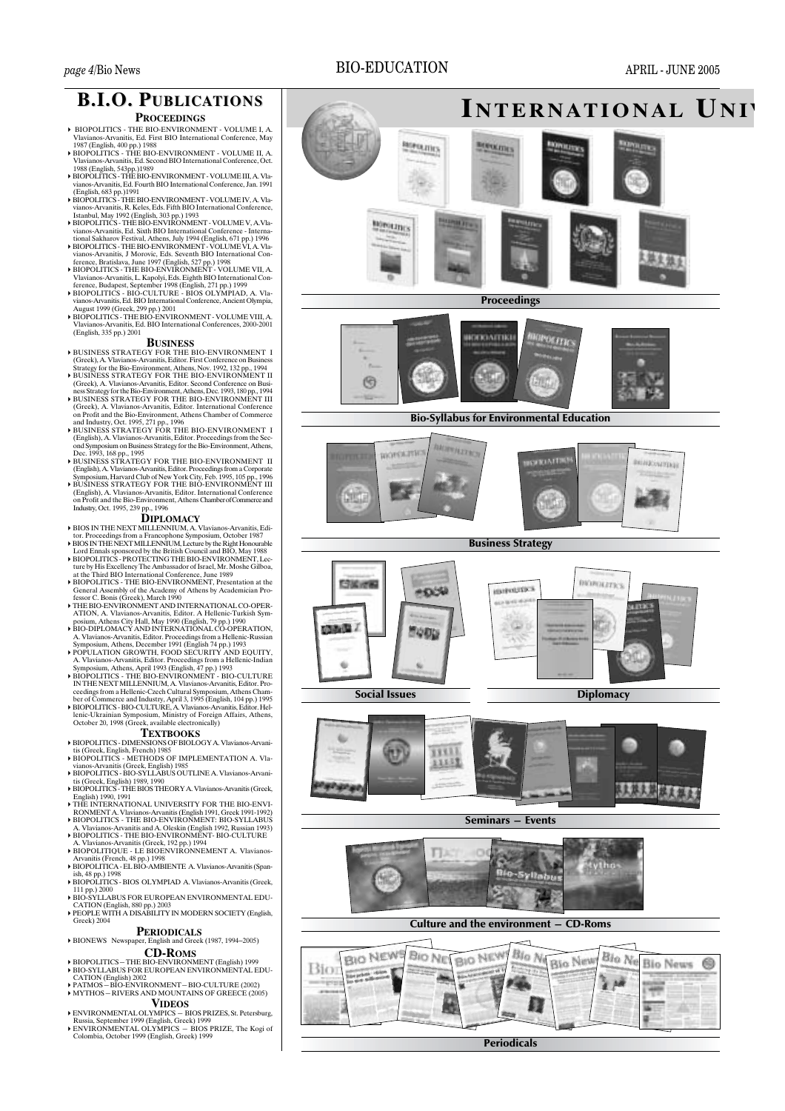## **BIO-EDUCATION**

APRIL - JUNE 2005



## **B.I.O. PUBLICATIONS**

## **PROCEEDINGS**

- ▶ BIOPOLITICS THE BIO-ENVIRONMENT VOLUME I, A. Vlavianos-Arvanitis, Ed. First BIO International Conference, May 1987 (English, 400 pp.) 1988<br>▶ BIOPOLITICS - THE BIO-ENVIRONMENT - VOLUME II, A.
- Vlavianos-Arvanitis, Ed. Second BIO International Conference, Oct.
- Vlavianos-Arvanitis, Ed. Second BIO International Conference, Oct.<br>1988 (English, 543pp.)1989<br>HOROLITICS THE BIO-ENVIRONMENT VOLUME III, A. Vlavianos-Arvanitis, Ed. Fourth BIO International Conference, Jan. 1991<br>(Engli
- 
- FIOPOLITTICS THE BIO-ENVIRONMENT VOLUME V, A Via<br>vianos-Arvanis, Ed. Sixth BIO International Conference Interna-<br>tional Sakharov Festival, Athens, July 1994 (English, 671 pp.) 1996<br>FIOPOLITICS THE BIO-ENVIRONMENT -
- 
- 
- 
- August 1999 (Greek, 299 pp.) 2001<br>
BIOPOLITICS THE BIO-ENVIRONMENT VOLUME VIII, A MOTOLITICS - THE BIO-ENVIRONMENT - VC<br>Vlavianos-Arvanitis, Ed. BIO International Confere<br>(English, 335 pp.) 2001  $\frac{2000}{2001}$

- **BUSINESS**<br>
 BUSINESS STRATEGY FOR THE BIO-ENVIRONMENT I<br>
(Greek), A. Valvanos-Arvantits, Editor. Frist Conference on Business<br>
Strategy for the Bio-Environment, Athens, Nov. 1992, 132 pp., 1994<br>
 BUSINESS STRATEGY FOR T
- 
- FIGURESS STRATEGY FOR THE BIO-ENVIRONMENT II<br>Greek), A. Vlavianos-Arvanitis, Editor. Second Conference on Business Strategy for the Bio-Environment, Athens, Dec. 1993, 180 pp., 1994<br>(Greek), A. Vlavianos-Arvanitis, Editor.
- **FOSINESS STRATEGY FOR THE BIO-ENVIRONMENT 1**<br>(English), A. Vlavianos-Arvanitis, Editor. Proceedings from the Sec-<br>ond Symposium on Business Strategy for the Bio-Environment, Athens,<br>Dec. 1993, 168 pp., 1995<br>PSEX STRATEGY
- 
- F BUSINESS STRATEGY FOR THE BIO-ENVIRONMENT II<br>
(English), A. Vlavianos-Arvanitis, Editor. Proceedings from a Corporate<br>
Symposium, Harvard Club of New York City, Feb. 1995, 105 pp., 1996<br>
FUSINESS STRATEGY FOR THE BIO-ENV

## **DIPLOMACY**

- 
- 
- FIPLOMACY<br>
FORD INTERNEXT MILLENNIUM, A. Vlavianos-Arvanitis, Editor. Proceedings from a Francophone Symposium, October 1987<br>
FIOS INTHE NEXT MILLENNIUM, Lecture by the Right Honourable<br>
Lord Ennals sponsored by the Britis
- General Assembly of the Academy of Athens by Academician Professor C. Bonis (Greek), March 1990
- THE BIO-ENVIRONMENT AND INTERNATIONAL CO-OPER-
- FIHE BIO-ENVIRONMENT AND INTERNATIONAL CO-OPERATION, A Viavianos-Arvanitis, Editor. A Hellenic-Turkish Syn-<br>posium, Athens City Hall, May 1990 (English, 79 pp.) 1990<br>FIO-DIPLOMACY AND INTERNATIONAL CO-OPERATION, A Viaviano
- 
- FOPULATION GROWTH, FOOD SECURITY AND EQUITY, AN HARABIT Symposium, Athens, April 1993 (English, 47 pp.) 1993<br>
Hellenic-Indian Symposium, Athens, April 1993 (English, 47 pp.) 1993<br>
FIOPULTICES THE BIO-ENVIRONMENT BIO-CU
- 

## **TEXTBOOKS**

- EXIDUUNE<br>EIOPOLITICS DIMENSIONS OF BIOLOGY A Vlavianos-Arvani
- 
- FBIOPOLITICS DIMENSIONS OF BIOLOGY A. Vlavianos-Arvani-<br>
is (Greek, English, French) 1985<br>
FIOPOLITICS METHODS OF IMPLEMENTATION A. Vlavianos-Arvanitis (Greek, English) 1985<br>
FIOPOLITICS BIO-SYLLABUS OUTLINE A. Vlavi
- English) 1990, 1991<br>THE INTERNATIONAL UNIVERSITY FOR THE BIO-ENVI-
- RONMENT A. Vlavianos-Arvanitis (English 1991, Greek 1991-1992)<br>
BIOPOLITICS THE BIO-ENVIRONMENT: BIO-SYLLABUS
- A. Vlavianos-Arvanitis and A. Oleskin (English 1992, Russian 1993)<br>BIOPOLITICS THE BIO-ENVIRONMENT- BIO-CULTURE
- 
- FRIOPOLITICS THE BIO-ENVIRONMENT- BIO-CULTURE<br>
A Viavianos-Arvanitis (Greek, 192 pp.) 1994<br>
FRIOPOLITIQUE LE BIOENVIRONNEMENT A. Vlavianos-<br>
Arvanitis (French, 48 pp.) 1998<br>
FRIOPOLITICA EL BIO-AMBIENTE A. Vlavianos-
- 111 pp.) 2000<br>BIO-SYLLABUS FOR EUROPEAN ENVIRONMENTAL EDU-
- CATION (English, 880 pp.) 2003<br>
PEOPLE WITH A DISABILITY IN MODERN SOCIETY (English,  $Greek$ ) 2004

## **PERIODICALS**

#### BIONEWS Newspaper, English and Greek (1987, 1994–2005) **CD-ROMS**

- → BIOPOLITICS THE BIO-ENVIRONMENT (English) 1999<br>
→ BIO-SYLLABUS FOR EUROPEAN ENVIRONMENTAL EDUCATION (English) 2002<br>
CATION (English) 2002<br>
→ PATMOS BIO-ENVIRONMENT BIO-CULTURE (2002)<br>
→ MYTHOS RIVERS AND MOUNTAI
- 

- 
- FINTENDENTAL OLYMPICS BIOS PRIZES, St. Petersburg,<br>
NIMENTAL OLYMPICS BIOS PRIZES, St. Petersburg,<br>
Russia, September 1999 (English, Greek) 1999<br>
NEWIRONMENTAL OLYMPICS BIOS PRIZE, The Kogi of mbia, October 1999 (English, Greek) 1999

**Periodicals**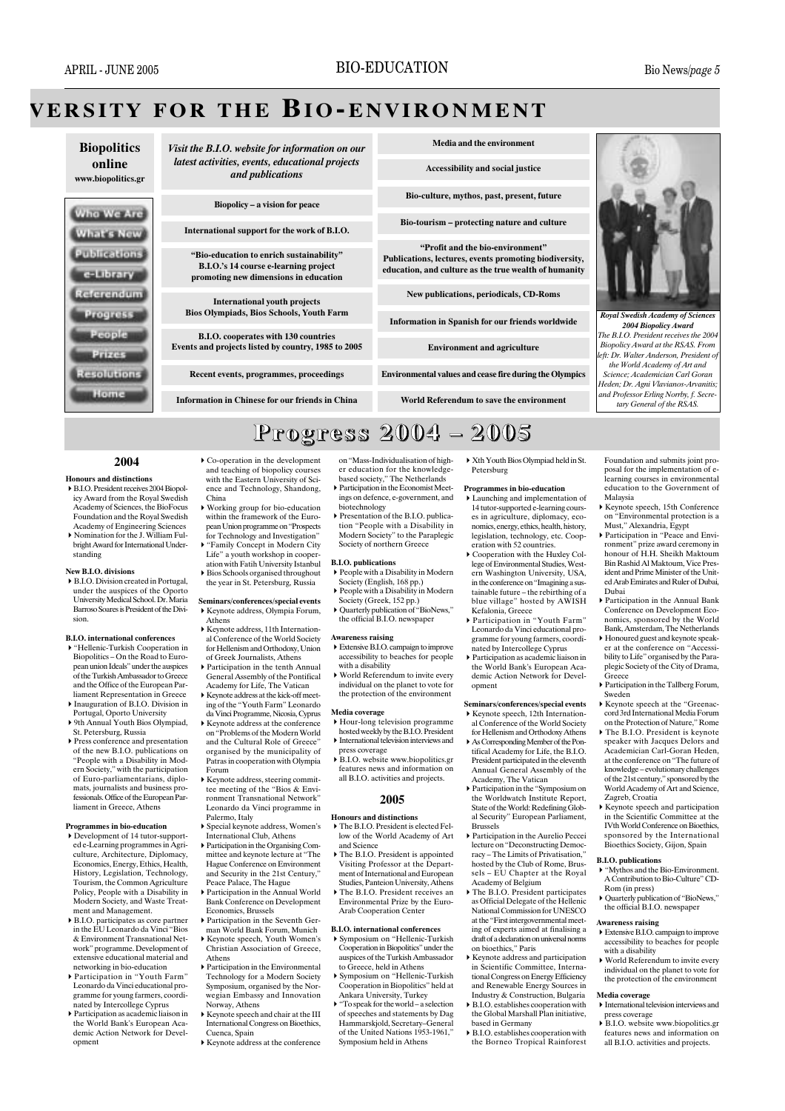## **VERSITY FOR THE BIO-ENVIRONMENT**

**Biopolitics** online www.biopolitics.gr



Visit the B.I.O. website for information on our latest activities, events, educational projects and publications

Biopolicy – a vision for peace

International support for the work of B.L.O.

"Bio-education to enrich sustainability" B.I.O.'s 14 course e-learning project promoting new dimensions in education

International vouth projects **Bios Olympiads, Bios Schools, Youth Farm** 

**B.I.O.** cooperates with 130 countries Events and projects listed by country, 1985 to 2005

Recent events, programmes, proceedings

**Information in Chinese for our friends in China** 

Media and the environment

**Accessibility and social justice** 

Bio-culture, mythos, past, present, future

Bio-tourism - protecting nature and culture

"Profit and the bio-environment" Publications, lectures, events promoting biodiversity, education, and culture as the true wealth of humanity

New publications, periodicals, CD-Roms

**Information in Spanish for our friends worldwide** 

**Environment and agriculture** 

Environmental values and cease fire during the Olympics

World Referendum to save the environment

**Royal Swedish Academy of Sciences** 2004 Biopolicy Award The B.I.O. President receives the 2004 **Biopolicy Award at the RSAS. From** left: Dr. Walter Anderson, President o the World Academy of Art and Science; Academician Carl Goran .<br>Heden; Dr. Agni Vlavianos-Arvanitis; and Professor Erling Norrhy f. Secretary General of the RSAS.

## Progress 2004 - 2005

#### 2004

- **Honours and distinctions** B.I.O. President receives 2004 Biopolicy Award from the Royal Swedish Academy of Sciences, the BioFocus Foundation and the Royal Swedish
- Academy of Engineering Sciences Nomination for the I William Fulbright Award for International Understanding

#### New B.LO, divisions

▶ B.I.O. Division created in Portugal, under the auspices of the Oporto<br>University Medical School. Dr. Maria Barroso Soares is President of the Divi-

#### **B.I.O.** international conferences

- "Hellenic-Turkish Cooperation in Biopolitics – On the Road to European union Ideals" under the auspices of the Turkish Ambassador to Greece and the Office of the European Parliament Representation in Greece
- ▶ Inauguration of B.I.O. Division in Portugal, Oporto University<br>
19th Annual Youth Bios Olympiad,
- St. Petersburg, Russia  $\triangleright$  Press conference and presentation
- of the new B.I.O. publications on<br>"People with a Disability in Modern Society," with the participation of Euro-parliamentarians, diplomats, journalists and business professionals. Office of the European Parliament in Greece, Ather

#### **Programmes in bio-education**

- Development of 14 tutor-supported e-Learning programmes in Agriculture, Architecture, Diplomacy, Economics, Energy, Ethics, Health, History, Legislation, Technology, Tourism, the Common Agriculture Policy, People with a Disability in Modern Society, and Waste Treatment and Management.
- $\triangleright$  B.LO, participates as core partner in the EU Leonardo da Vinci "Bios & Environment Transnational Network" programme. Development of extensive educational material and networking in bio-education
- Participation in "Youth Farm" Leonardo da Vinci educational programme for young farmers, coordinated by Intercollege Cyprus
- ▶ Participation as academic liaison in<br>the World Bank's European Academic Action Network for Development
- $\triangleright$  Co-operation in the development and teaching of biopolicy courses<br>with the Eastern University of Science and Technology, Shandong, China
- ▶ Working group for bio-education within the framework of the European Union programme on "Prospects" for Technology and Investigation'
- "Family Concept in Modern City Life" a youth workshop in cooper
- ation with Fatih University Istanbul Bios Schools organised throughout the year in St. Petersburg, Russia
- Seminars/conferences/special events Example 2011 Engine Press, Olympia Forum, Athens
- Exercise  $\blacktriangle$  Keynote address. 11th International Conference of the World Society for Hellenism and Orthodoxy, Union of Greek Journalists, Athens
- Participation in the tenth Annual General Assembly of the Pontifical<br>Academy for Life, The Vatican
- Keynote address at the kick-off meeting of the "Youth Farm" Leonardo da Vinci Programme, Nicosia, Cyprus
- ▶ Keynote address at the conference on "Problems of the Modern World
- and the Cultural Role of Greece' organised by the municipality of Patras in cooperation with Olympia Forum
- ▶ Keynote address, steering commit-<br>tee meeting of the "Bios & Environment Transnational Network<sup>1</sup> Leonardo da Vinci programme in Palermo, Italy<br>
> Special keynote address, Women's
- International Club, Athens  $\blacktriangleright$  Participation in the Organising Com-
- mittee and keynote lecture at "The Hague Conference on Environment and Security in the 21st Century, Peace Palace. The Hague
- Participation in the Annual World Bank Conference on Development Economics, Brussels
- $\blacktriangleright$  Participation in the Seventh German World Bank Forum, Munich Keynote speech, Youth Women's
- Christian Association of Greece, Athene Participation in the Environmental
- Technology for a Modern Society Symposium, organised by the Norwegian Embassy and Innovation Norway, Athens
- Keynote speech and chair at the III International Congress on Bioethics Cuenca, Spain
- $\blacktriangleright$  Keynote address at the conference
- on "Mass-Individualisation of highon Mass marviolalisation or ingineer<br>er education for the knowledge-<br>based society," The Netherlands Participation in the Economist Meetings on defence, e-government, and
- biotechnology  $\triangleright$  Presentation of the B.I.O. publication "People with a Disability in Modern Society" to the Paraplegic Society of northern Greece

### **B.I.O.** publications

- $\triangleright$  People with a Disability in Modern Society (English, 168 pp.)
- People with a Disability in Modern Society (Greek, 152 pp.)
	- $\triangleright$  Quarterly publication of "BioNews," the official B.I.O. newspaper

#### **Awareness raising**

- Extensive B.I.O. campaign to improve<br>accessibility to beaches for people with a disability<br>with a disability<br>Norld Referendum to invite every
- individual on the planet to vote for the protection of the environment

#### Media coverage

- Hour-long television programme<br>hosted weekly by the B.I.O. President  $\blacktriangleright$  International television interviews and
- press coverage<br>  $\blacktriangleright$  B.I.O. website www.biopolitics.gr features news and information on<br>all B.I.O. activities and projects.

#### 2005

#### **Honours and distinctions**

- The B.I.O. President is elected Fellow of the World Academy of Art and Science
- The B.I.O. President is appointed Visiting Professor at the Department of International and European Studies, Panteion University, Athens
- The B.I.O. President receives an Environmental Prize by the Euro-Arab Cooperation Center

### **B.I.O.** international conferences

- Symposium on "Hellenic-Turkish Cooperation in Biopolitics" under the auspices of the Turkish Ambassador<br>to Greece, held in Athens
- Symposium on "Hellenic-Turkish" Cooperation in Biopolitics" held at Ankara University, Turkey<br>Figure 1.1 Turkey<br>For Speak for the world – a selection
- of speeches and statements by Dag Hammarskiold, Secretary-Genera of the United Nations 1953-1961, Symposium held in Athens

▶ Xth Youth Bios Olympiad held in St. Petersburg

#### Programmes in bio-education

- $\blacktriangleright$  Launching and implementation of 14 tutor-supported e-learning courses in agriculture diplomacy ecocomics, energy, ethics, health, history, legislation, technology, etc. Cooperation with 52 countries.
- $\triangleright$  Cooperation with the Huxley College of Environmental Studies. Western Washington University, USA. in the conference on "Imagining a sustainable future - the rebirthing of a blue village" hosted by AWISH<br>Kefalonia, Greece<br>P Participation in "Youth Farm"
- Leonardo da Vinci educational programme for young farmers, coordinated by Intercollege Cyprus
- $\triangleright$  Participation as academic liaison in the World Bank's European Academic Action Network for Development

#### Seminars/conferences/special events

- Example 22 Former Pressure 21 Former Pressure al Conference of the World Society for Hellenism and Orthodoxy Athens
- As Corresponding Member of the Pon-<br>tifical Academy for Life, the B.I.O. President participated in the eleventh Annual General Assembly of the Academy, The Vatican<br>
Participation in the "Symposium on
- the Worldwatch Institute Report, State of the World: Redefining Global Security" European Parliament, **Brussels**
- ▶ Participation in the Aurelio Peccei<br>lecture on "Deconstructing Democracy - The Limits of Privatisation," hosted by the Club of Rome, Brussels - EU Chapter at the Royal Academy of Belgium
- The B.I.O. President participates as Official Delegate of the Hellenic National Commission for UNESCO at the "First intergovernmental meetin the absent same of a finalising a draft of a declaration on universal norms on bioethics." Paris
- $\triangleright$  Keynote address and participation in Scientific Committee, International Congress on Energy Efficiency<br>and Renewable Energy Sources in
- Industry & Construction, Bulgaria<br>M. Industry & Construction, Bulgaria<br>M. B.I.O. establishes cooperation with the Global Marshall Plan initiative, based in Germany
- $\triangleright$  B.I.O. establishes cooperation with the Borneo Tropical Rainforest
- Foundation and submits joint proposal for the implementation of elearning courses in environmental education to the Government of Malaysia
- Keynote speech, 15th Conference on "Environmental protection is a Must," Alexandria, Egypt
- Participation in "Peace and Environment" prize award ceremony in honour of H.H. Sheikh Maktoum Bin Rashid Al Maktoum, Vice President and Prime Minister of the United Arab Emirates and Ruler of Dubai, Dubai Participation in the Annual Bank

Conference on Development Eco-

nomics, sponsored by the World

Bank, Amsterdam, The Netherlands

Honoured guest and keynote speak-

er at the conference on "Accessi-

bility to Life" organised by the Para-

plegic Society of the City of Drama,

 $\triangleright$  Participation in the Tallberg Forum,

► Keynote speech at the "Greenac-

cord 3rd International Media Forum<br>on the Protection of Nature," Rome

 $\triangleright$  The R<sub>I</sub>O President is keynote

speaker with Jacques Delors and

Academician Carl-Goran Heden,

at the conference on "The future of

knowledge - evolutionary challenges

of the 21st century." sponsored by the

World Academy of Art and Science,

Keynote speech and participation

in the Scientific Committee at the

IVth World Conference on Bioethics,

sponsored by the International

Bioethics Society, Gijon, Spain

▶ "Mythos and the Bio-Environment.

► Quarterly publication of "BioNews,"<br>the official B.I.O. newspaper

Awareness raising<br>▶ Extensive B.I.O. campaign to improve

accessibility to beaches for people

 $\triangleright$  World Referendum to invite every

individual on the planet to vote for

the protection of the environment

International television interviews and

press coverage<br>B.I.O. website www.biopolitics.gr

features news and information on

all B.LO. activities and projects.

A Contribution to Bio-Culture" CD-

Zagreb, Croatia

**B.I.O.** publications

Rom (in press)

with a disability

Media coverage

.<br>Greece

Sweden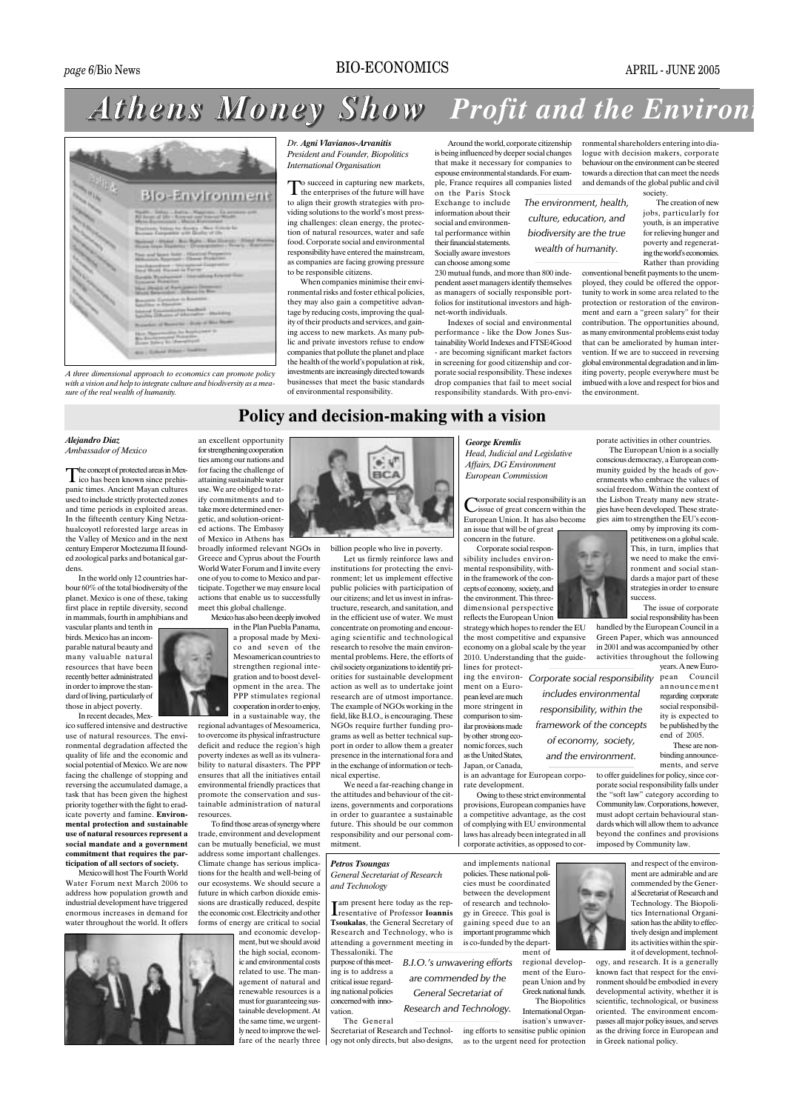## **BIO-ECONOMICS**

## **Athens Money Show Profit and the Environ:**



A three dimensional approach to economics can promote policy with a vision and help to integrate culture and biodiversity as a measure of the real wealth of humanity.

Dr. Agni Vlavianos-Arvanitis President and Founder, Biopolitics **International Organisation** 

to succeed in capturing new markets.  $\int$  the enterprises of the future will have to align their growth strategies with providing solutions to the world's most pressing challenges: clean energy, the protection of natural resources, water and safe food Corporate social and environmental responsibility have entered the mainstream, as companies are facing growing pressure to be responsible citizens.

When companies minimise their environmental risks and foster ethical policies, they may also gain a competitive advantage by reducing costs, improving the quality of their products and services, and gaining access to new markets. As many public and private investors refuse to endow companies that pollute the planet and place the health of the world's population at risk, investments are increasingly directed towards businesses that meet the basic standards of environmental responsibility

Around the world, corporate citizenship is being influenced by deeper social changes that make it necessary for companies to espouse environmental standards. For example, France requires all companies listed

The environment, health.

culture, education, and

biodiversity are the true

wealth of humanity.

on the Paris Stock Exchange to include information about their social and environmental performance within their financial statements Socially aware investors can choose among some

230 mutual funds, and more than 800 independent asset managers identify themselves as managers of socially responsible portfolios for institutional investors and highnet-worth individuals.

Indexes of social and environmental performance - like the Dow Jones Sustainability World Indexes and FTSE4Good - are becoming significant market factors in screening for good citizenship and corporate social responsibility. These indexes drop companies that fail to meet social responsibility standards. With pro-envi-

ronmental shareholders entering into dialogue with decision makers, corporate behaviour on the environment can be steered towards a direction that can meet the needs and demands of the global public and civil society.

The creation of new jobs, particularly for youth, is an imperative for relieving hunger and poverty and regenerating the world's economies. Rather than providing

conventional benefit payments to the unemployed, they could be offered the opportunity to work in some area related to the protection or restoration of the environment and earn a "green salary" for their contribution. The opportunities abound, as many environmental problems exist today that can be ameliorated by human intervention. If we are to succeed in reversing global environmental degradation and in limiting poverty, people everywhere must be<br>imbued with a love and respect for bios and the environment

## Policy and decision-making with a vision

Alejandro Diaz Ambassador of Mexico

he concept of protected areas in Mexlie why be presented in the prehispanic times. Ancient Mayan cultures used to include strictly protected zones and time periods in exploited areas. In the fifteenth century King Netzahualcoyotl reforested large areas in the Valley of Mexico and in the next century Emperor Moctezuma II founded zoological parks and botanical gardens

In the world only 12 countries har- $\frac{1}{2}$  hour 60% of the total biodiversity of the planet. Mexico is one of these, taking first place in reptile diversity, second in mammals, fourth in amphibians and

vascular plants and tenth in birds. Mexico has an incomparable natural beauty and many valuable natural resources that have been recently better administrated in order to improve the standard of living, particularly of those in abject poverty.

In recent decades, Mexico suffered intensive and destructive use of natural resources. The envicommental degradation affected the quality of life and the economic and social potential of Mexico We are now facing the challenge of stopping and reversing the accumulated damage, a task that has been given the highest priority together with the fight to eradicate poverty and famine. Environmental protection and sustainable use of natural resources represent a social mandate and a government commitment that requires the participation of all sectors of society.

Mexico will host The Fourth World Water Forum next March 2006 to address how population growth and industrial development have triggered enormous increases in demand for water throughout the world. It offers

an excellent opportunity for strengthening cooperation ties among our nations and for facing the challenge of attaining sustainable water use. We are obliged to ratify commitments and to take more determined energetic, and solution-oriented actions. The Embassy of Mexico in Athens has

broadly informed relevant NGOs in Greece and Cyprus about the Fourth World Water Forum and Linvite every one of you to come to Mexico and participate. Together we may ensure local actions that enable us to successfully meet this global challenge. Mexico has also been deeply involved

in the Plan Puebla Panama. a proposal made by Mexico and seven of the Mesoamerican countries to strengthen regional integration and to boost development in the area. The PPP stimulates regional cooperation in order to enjoy, in a sustainable way, the

regional advantages of Mesoamerica, to overcome its physical infrastructure deficit and reduce the region's high poverty indexes as well as its vulnera bility to natural disasters. The PPP ensures that all the initiatives entail environmental friendly practices that promote the conservation and sustainable administration of natural resources

To find those areas of synergy where trade. environment and development can be mutually beneficial, we must address some important challenges Climate change has serious implications for the health and well-being of our ecosystems. We should secure a future in which carbon dioxide emis sions are drastically reduced, despite the economic cost Electricity and other forms of energy are critical to social

and economic develop ment but we should avoid the high social, economic and environmental costs related to use. The management of natural and renewable resources is a must for guaranteeing sustainable development. At the same time, we urgent ly need to improve the welfare of the nearly three



billion people who live in poverty.

Let us firmly reinforce laws and institutions for protecting the environment; let us implement effective public policies with participation of our citizens: and let us invest in infrastructure, research, and sanitation, and in the efficient use of water. We must concentrate on promoting and encouraging scientific and technological research to resolve the main environmental problems. Here, the efforts of civil society organizations to identify priorities for sustainable development action as well as to undertake joint research are of utmost importance. The example of NGOs working in the field, like B.I.O., is encouraging. These NGOs require further funding programs as well as better technical support in order to allow them a greater presence in the international fora and in the exchange of information or technical expertise.

We need a far-reaching change in the attitudes and behaviour of the citizens, governments and corporations in order to guarantee a sustainable future. This should be our common responsibility and our personal commitment.

## Petros Tsoungas

General Secretariat of Research and Technology

am present here today as the representative of Professor Ioannis **Treschiament of Processor Tourning** Research and Technology, who is attending a government meeting in<br>Thessaloniki. The

purpose of this meeting is to address a critical issue regarding national policies concerned with inno-

The General

vation.

ogy not only directs, but also designs,

**European Commission** orporate social responsibility is an issue of great concern within the European Union. It has also become an issue that will be of great concern in the future.

**George Kremlis** 

Head, Judicial and Legislative

**Affairs**, DG Environment

Corporate social responsibility includes environmental responsibility, within the framework of the concepts of economy, society, and the environment This threedimensional perspective reflects the European Union

strategy which hopes to render the EU the most competitive and expansive economy on a global scale by the year 2010. Understanding that the guidelines for protect-

includes environmental

of economy, society,

and the environment.

ing the environment on a European level are much more stringent in comparison to similar provisions made by other strong economic forces, such as the United States, Japan, or Canada,

is an advantage for European corporate development. Owing to these strict environmental

provisions European companies have a competitive advantage, as the cost of complying with EU environmental laws has already been integrated in all corporate activities, as opposed to cor-

is co-funded by the depart-

regional develop-

pean Union and by .<br>Greek national funds. The Biopolitics



porate activities in other countries.

The European Union is a socially conscious democracy, a European community guided by the heads of governments who embrace the values of social freedom. Within the context of the Lisbon Treaty many new strategies have been developed. These strategies aim to strengthen the EU's econ-

omy by improving its competitiveness on a global scale. This, in turn, implies that we need to make the environment and social standards a major part of these strategies in order to ensure success

The issue of corporate social responsibility has been handled by the European Council in a Green Paper, which was announced in 2001 and was accompanied by other activities throughout the following

years. A new Euro-Corporate social responsibility pean Council announcement regarding corporate social responsibilresponsibility, within the ity is expected to framework of the concepts be published by the  $end$  of  $2005$ 

These are nonbinding announcements, and serve

to offer guidelines for policy, since corporate social responsibility falls under the "soft law" category according to Community law. Corporations, however, must adopt certain behavioural standards which will allow them to advance beyond the confines and provisions imposed by Community law

> and respect of the environment are admirable and are commended by the General Secretariat of Research and Technology. The Biopolitics International Organisation has the ability to effectively design and implement its activities within the spirit of development, technol-

ogy, and research. It is a generally known fact that respect for the environment should be embodied in every developmental activity, whether it is scientific, technological, or business oriented. The environment encompasses all major policy issues, and serves as the driving force in European and in Greek national policy.

and implements national policies. These national policies must be coordinated between the development of research and technology in Greece. This goal is gaining speed due to an

...<br>importa

are commended by the **General Secretariat of** Research and Technology.

B.I.O.'s unwavering efforts

int programme which  $m$ ent of

ment of the Euro-International Organ-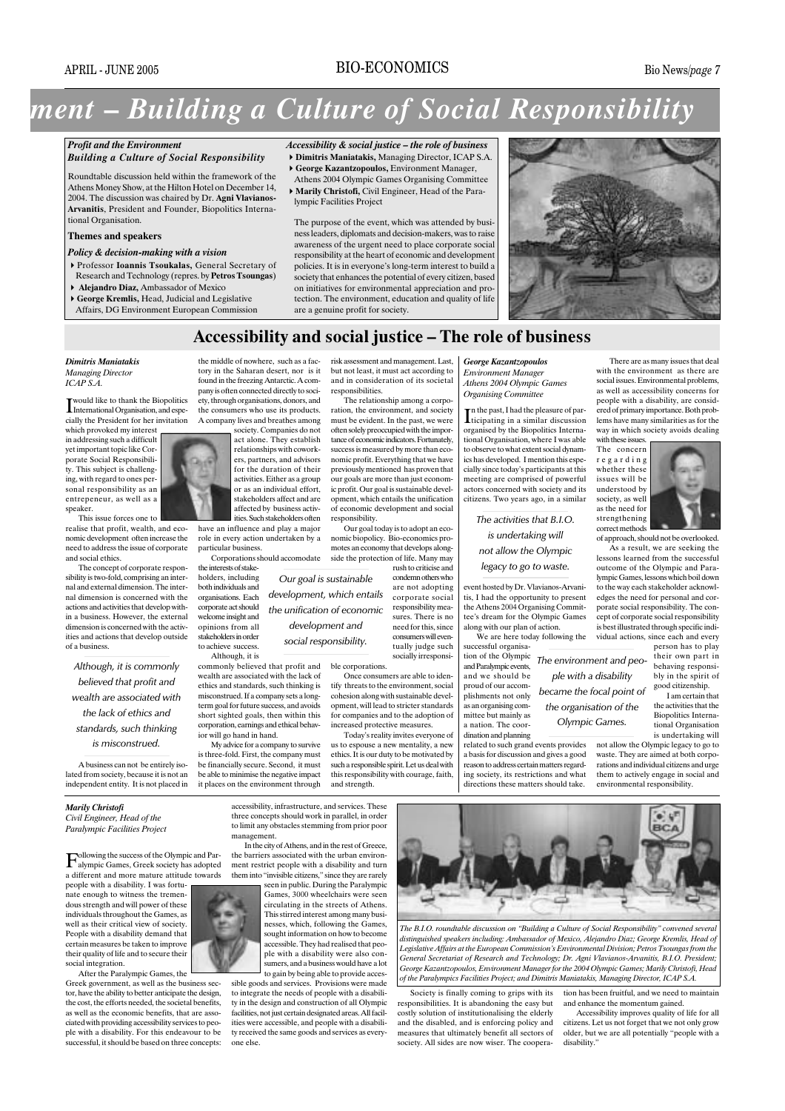## **BIO-ECONOMICS**

# ment – Building a Culture of Social Responsibility

#### **Profit and the Environment Building a Culture of Social Responsibility**

Roundtable discussion held within the framework of the

Athens Money Show, at the Hilton Hotel on December 14. 2004. The discussion was chaired by Dr. Agni Vlavianos-Arvanitis, President and Founder, Biopolitics International Organisation.

## Themes and speakers

## Policy & decision-making with a vision

- Professor Ioannis Tsoukalas, General Secretary of Research and Technology (repres. by Petros Tsoungas)
- Aleiandro Diaz, Ambassador of Mexico
- George Kremlis, Head, Judicial and Legislative Affairs, DG Environment European Commission

## Accessibility & social justice – the role of business

- Dimitris Maniatakis, Managing Director, ICAP S.A. George Kazantzopoulos, Environment Manager,
- Athens 2004 Olympic Games Organising Committee
- Marily Christofi, Civil Engineer, Head of the Paralympic Facilities Project

The purpose of the event, which was attended by business leaders, diplomats and decision-makers, was to raise awareness of the urgent need to place corporate social responsibility at the heart of economic and development policies. It is in everyone's long-term interest to build a society that enhances the potential of every citizen, based on initiatives for environmental appreciation and pro tection. The environment, education and quality of life are a genuine profit for society.



## Accessibility and social justice - The role of business

Dimitris Maniatakis

**Managing Director**  $ICAPS.A$ 

would like to thank the Biopolitics I WOULD THE LOCALITY CHARGE TO THE THEFT AND INVESTIGATION cially the President for her invitation

which provoked my interest in addressing such a difficult vet important topic like Corporate Social Responsibility. This subject is challenging, with regard to ones personal responsibility as an entrepeneur, as well as a speaker.

This issue forces one to realise that profit, wealth, and economic development often increase the need to address the issue of corporate and social ethics.

The concept of corporate responsibility is two-fold, comprising an internal and external dimension. The internal dimension is concerned with the actions and activities that develop within a business. However, the external dimension is concerned with the activities and actions that develop outside of a business

Although, it is commonly believed that profit and wealth are associated with the lack of ethics and standards, such thinking is misconstrued.

A business can not be entirely isolated from society, because it is not an independent entity. It is not placed in

#### Marily Christofi

Civil Engineer, Head of the Paralympic Facilities Project

ollowing the success of the Olympic and Par-Following the successive the Light<br>alympic Games, Greek society has adopted a different and more mature attitude towards

people with a disability. I was fortunate enough to witness the tremen dous strength and will power of these individuals throughout the Games, as well as their critical view of society. People with a disability demand that certain measures be taken to improve their quality of life and to secure their social integration.

After the Paralympic Games, the Greek government, as well as the business sector, have the ability to better anticipate the design. the cost, the efforts needed, the societal benefits, as well as the economic benefits, that are associated with providing accessibility services to people with a disability. For this endeavour to be successful, it should be based on three concents:



the middle of nowhere, such as a fac-

tory in the Saharan desert, nor is it

found in the freezing Antarctic. A com-

pany is often connected directly to soci-

have an influence and play a major role in every action undertaken by a particular business

the interests of stakeholders, including both individuals and organisations. Each corporate act should welcome insight and opinions from all stakeholders in order to achieve success

Although, it is commonly believed that profit and wealth are associated with the lack of ethics and standards, such thinking is misconstrued. If a company sets a longterm goal for future success, and avoids short sighted goals, then within this corporation, earnings and ethical behavjor will go hand in hand. My advice for a company to survive

is three-fold. First, the company must be financially secure. Second, it must be able to minimise the negative impact it places on the environment through

> accessibility, infrastructure, and services. These three concepts should work in parallel, in order<br>to limit any obstacles stemming from prior poor management. In the city of Athens, and in the rest of Greece,

development and

social responsibility.

the barriers associated with the urban environment restrict people with a disability and turn them into "invisible citizens," since they are rarely

seen in public. During the Paralympic Games, 3000 wheelchairs were seen circulating in the streets of Athens. This stirred interest among many businesses, which, following the Games. sought information on how to become accessible. They had realised that people with a disability were also con-.<br>sumers, and a business would have a lot to gain by being able to provide acces-

sible goods and services. Provisions were made to integrate the needs of people with a disability in the design and construction of all Olympic facilities, not just certain designated areas. All facilities were accessible, and people with a disability received the same goods and services as everyone else.

risk assessment and management. Last, but not least, it must act according to and in consideration of its societal responsibilities.

The relationship among a corporation, the environment, and society must be evident. In the past, we were often solely preoccupied with the importance of economic indicators. Fortunately success is measured by more than economic profit. Everything that we have previously mentioned has proven that our goals are more than just economic profit. Our goal is sustainable development, which entails the unification of economic development and social responsibility.

Our goal today is to adopt an economic biopolicy. Bio-economics promotes an economy that develops alongside the protection of life. Many may

rush to criticise and condemn others who are not adopting corporate social responsibility measures. There is no need for this, since consumers will even tually indoe such socially irresponsi-

ble corporations. Once consumers are able to iden. tify threats to the environment, social cohesion along with sustainable development, will lead to stricter standards for companies and to the adoption of

increased protective measures. Today's reality invites everyone of us to espouse a new mentality, a new ethics. It is our duty to be motivated by such a responsible spirit. Let us deal with this responsibility with courage, faith, and strength.

George Kazantzopoulos **Environment Manager** Athens 2004 Olympic Games **Organising Committee** 

n the past, I had the pleasure of par-In the past, I had the preasure of par-<br>Iticipating in a similar discussion<br>organised by the Biopolitics International Organisation, where I was able to observe to what extent social dynamics has developed. I mention this especially since today's participants at this meeting are comprised of powerful actors concerned with society and its citizens. Two years ago, in a similar

## The activities that  $BLO$ . is undertaking will not allow the Olympic legacy to go to waste.

event hosted by Dr. Vlavianos-Arvanitis, I had the opportunity to present<br>the Athens 2004 Organising Committee's dream for the Olympic Games along with our plan of action.

We are here today following the successful organisa tion of the Olympic The environment and peo-

ple with a disability

became the focal point of

the organisation of the

Olympic Games.

and Paralympic events, and we should be proud of our accomplishments not only as an organising committee but mainly as a nation. The coordination and planning

related to such grand events provides a basis for discussion and gives a good reason to address certain matters regarding society, its restrictions and what directions these matters should take.

There are as many issues that deal with the environment as there are social issues. Environmental problems, as well as accessibility concerns for people with a disability, are considered of primary importance. Both problems have many similarities as for the way in which society avoids dealing with these issues

The concern  $re$ garding whether these issues will be understood by society, as well as the need for strengthening correct methods



of approach, should not be overlooked. As a result, we are seeking the lessons learned from the successful outcome of the Olympic and Paralympic Games, lessons which boil down to the way each stakeholder acknowledges the need for personal and corporate social responsibility. The concept of corporate social responsibility is best illustrated through specific individual actions, since each and every nerson has to play

their own part in behaving responsibly in the spirit of  $\operatorname*{good}% \left( \mathcal{M}\right) \equiv\operatorname*{proj}\left( \mathcal{M}\right)$ 

I am certain that the activities that the Biopolitics International Organisation

is undertaking will not allow the Olympic legacy to go to waste. They are aimed at both corporations and individual citizens and urge them to actively engage in social and environmental responsibility.

The B.I.O. roundtable discussion on "Building a Culture of Social Responsibility" convened several distinguished speakers including: Ambassador of Mexico, Alejandro Diaz; George Kremlis, Head of Legislative Affairs at the European Commission's Environmental Division; Petros Tsoungas from the General Secretariat of Research and Technology; Dr. Agni Vlavianos-Arvanitis, B.I.O. President; George Kazantzopoulos, Environment Manager for the 2004 Olympic Games; Marily Christofi, Head<br>of the Paralympics Facilities Project; and Dimitris Maniatakis, Managing Director, ICAP S.A.

Society is finally coming to grips with its sponsibilities. It is abandoning the easy but costly solution of institutionalising the elderly and the disabled, and is enforcing policy and measures that ultimately benefit all sectors of society. All sides are now wiser. The coopera-

tion has been fruitful, and we need to maintain and enhance the momentum gained.

Accessibility improves quality of life for all citizens. Let us not forget that we not only grow older, but we are all potentially "people with a disability.'



Corporations should accomodate Our goal is sustainable development, which entails the unification of economic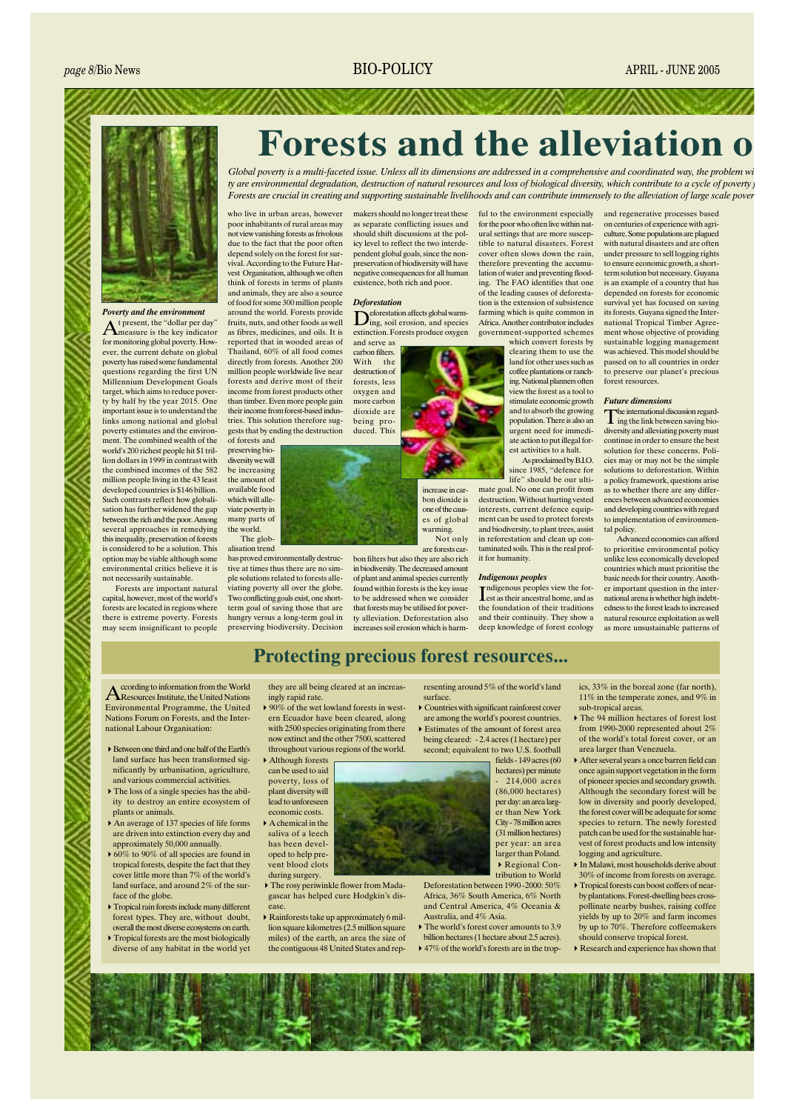

#### Poverty and the environment

t present, the "dollar per day" A present, the second relation for monitoring global poverty. However, the current debate on global poverty has raised some fundamental questions regarding the first UN Millennium Development Goals target, which aims to reduce poverty by half by the year 2015. One<br>important issue is to understand the links among national and global poverty estimates and the environment. The combined wealth of the world's 200 richest people hit \$1 trillion dollars in 1999 in contrast with the combined incomes of the 582 million people living in the 43 least developed countries is \$146 billion. Such contrasts reflect how globalisation has further widened the gap between the rich and the poor. Among several approaches in remedying this inequality, preservation of forests is considered to be a solution. This option may be viable although some environmental critics believe it is not necessarily sustainable.

Forests are important natural capital however most of the world's forests are located in regions where there is extreme poverty. Forests may seem insignificant to people

who live in urban areas, however poor inhabitants of rural areas may not view vanishing forests as frivolous due to the fact that the poor often depend solely on the forest for survival. According to the Future Harvest Organisation, although we often think of forests in terms of plants and animals, they are also a source of food for some 300 million people around the world. Forests provide fruits, nuts, and other foods as well as fibres, medicines, and oils. It is reported that in wooded areas of Thailand, 60% of all food comes directly from forests. Another 200 million people worldwide live near forests and derive most of their income from forest products other than timber. Even more people gain their income from forest-based industries. This solution therefore suggests that by ending the destruction of forests and

preserving biodiversity we will be increasing the amount of available food which will alle viate poverty in many parts of the world. The globalisation trend

has proved environmentally destructive at times thus there are no simple solutions related to forests alleviating poverty all over the globe. Two conflicting goals exist, one shortterm goal of saving those that are hungry versus a long-term goal in preserving biodiversity. Decision

makers should no longer treat these as separate conflicting issues and should shift discussions at the policy level to reflect the two interdependent global goals, since the nonpreservation of biodiversity will have negative consequences for all human existence, both rich and poor.

#### **Deforestation**

eforestation affects global warm- $\sum_{\text{ing, soil erosion, and species}}$ extinction. Forests produce oxygen

and serve as carbon filters. With the destruction of forests, less oxygen and more carbon dioxide are being produced. This



es of global warming. Not only are forests car-

bon filters but also they are also rich in biodiversity. The decreased amount of plant and animal species currently found within forests is the key issue to be addressed when we consider that forests may be utilised for poverty alleviation. Deforestation also increases soil erosion which is harmful to the environment especially for the poor who often live within natural settings that are more susceptible to natural disasters. Forest cover often slows down the rain. therefore preventing the accumulation of water and preventing flooding. The FAO identifies that one of the leading causes of deforestation is the extension of subsistence farming which is quite common in Africa. Another contributor includes government-supported schemes

**Forests and the alleviation o** 

Global poverty is a multi-faceted issue. Unless all its dimensions are addressed in a comprehensive and coordinated way, the problem wi ty are environmental degradation, destruction of natural resources and loss of biological diversity, which contribute to a cycle of poverty Forests are crucial in creating and supporting sustainable livelihoods and can contribute immensely to the alleviation of large scale pover

> which convert forests by clearing them to use the land for other uses such as coffee plantations or ranching. National planners often view the forest as a tool to stimulate economic growth and to absorb the growing population. There is also an urgent need for immediate action to put illegal forest activities to a halt.

As proclaimed by  $B.I.O.$ since 1985, "defence for life" should be our ultimate goal. No one can profit from destruction. Without hurting vested interests, current defence equipment can be used to protect forests and biodiversity, to plant trees, assist in reforestation and clean up contaminated soils. This is the real profit for humanity.

#### **Indigenous peoples**

ndigenous peoples view the forest as their ancestral home, and as the foundation of their traditions and their continuity. They show a<br>deep knowledge of forest ecology

and regenerative processes based on centuries of experience with agri-<br>culture. Some populations are plagued with natural disasters and are often under pressure to sell logging rights to ensure economic growth, a shortterm solution but necessary. Guyana is an example of a country that has depended on forests for economic survival yet has focused on saving its forests. Guyana signed the International Tropical Timber Agreement whose objective of providing sustainable logging management was achieved. This model should be passed on to all countries in order to preserve our planet's precious forest resources.

#### **Future dimensions**

 $\int_a^b$  international discussion regarding the link between saving biodiversity and alleviating poverty must continue in order to ensure the best solution for these concerns Policies may or may not be the simple solutions to deforestation. Within a policy framework, questions arise as to whether there are any differences between advanced economies and developing countries with regard to implementation of environmental policy.

Advanced economies can afford to prioritise environmental policy unlike less economically developed countries which must prioritise the basic needs for their country. Another important question in the international arena is whether high indebtedness to the forest leads to increased natural resource exploitation as well as more unsustainable patterns of

## **Protecting precious forest resources...**

ccording to information from the World **A** Resources Institute, the United Nations Environmental Programme, the United Nations Forum on Forests, and the International Labour Organisation:

- Retween one third and one half of the Farth's land surface has been transformed significantly by urbanisation, agriculture, and various commercial activities.
- The loss of a single species has the ability to destroy an entire ecosystem of plants or animals.
- An average of 137 species of life forms are driven into extinction every day and approximately 50,000 annually.
- $\blacktriangleright$  60% to 90% of all species are found in tropical forests, despite the fact that they cover little more than 7% of the world's land surface, and around 2% of the surface of the globe.
- $\blacktriangleright$  Tropical rain forests include many different forest types. They are, without doubt, overall the most diverse ecosystems on earth.
- $\triangleright$  Tropical forests are the most biologically diverse of any habitat in the world vet

they are all being cleared at an increasingly rapid rate.

 $\triangleright$  90% of the wet lowland forests in western Ecuador have been cleared, along with 2500 species originating from there now extinct and the other 7500 scattered

Although forests can be used to aid poverty, loss of .<br>plant diversity will lead to unforeseen economic costs.  $\triangleright$  A chemical in the saliva of a leech has been developed to help prevent blood clots

- during surgery.  $\triangleright$  The rosy periwinkle flower from Madagascar has helped cure Hodgkin's dis-
- $\blacktriangleright$  Rainforests take up approximately 6 million square kilometres (2.5 million square miles) of the earth, an area the size of the contiguous 48 United States and rep-

resenting around 5% of the world's land surface

 $\triangleright$  Countries with significant rainforest cover are among the world's poorest countries. Estimates of the amount of forest area

being cleared: - 2.4 acres (1 hectare) per second; equivalent to two U.S. football  $fields - 149 acres(60$ 

hectares) per minute  $214.000$  acres  $(86.000)$  hectares) per day; an area larger than New York City - 78 million acres (31 million hectares) per year: an area larger than Poland.  $\triangleright$  Regional Contribution to World

Deforestation between 1990 - 2000: 50% Africa 36% South America 6% North and Central America, 4% Oceania & Australia and 4% Asia

 $\triangleright$  The world's forest cover amounts to 3.9 billion hectares (1 hectare about 2.5 acres).  $\triangleright$  47% of the world's forests are in the tropics.  $33\%$  in the boreal zone (far north). 11% in the temperate zones, and  $9\%$  in sub-tropical areas.

- $\triangleright$  The 94 million hectares of forest lost from 1990-2000 represented about  $2\%$ of the world's total forest cover or an area larger than Venezuela.
- $\triangleright$  After several years a once barren field can once again support vegetation in the form of pioneer species and secondary growth. Although the secondary forest will be low in diversity and poorly developed, the forest cover will be adequate for some species to return. The newly forested patch can be used for the sustainable harexternal or forest products and low intensity logging and agriculture.
- In Malawi, most households derive about 30% of income from forests on average.
- $\triangleright$  Tropical forests can boost coffers of nearby plantations. Forest-dwelling bees crosspollinate nearby bushes, raising coffee yields by up to 20% and farm incomes by up to 70%. Therefore coffeemakers should conserve tropical forest.
- $\triangleright$  Research and experience has shown that



throughout various regions of the world.

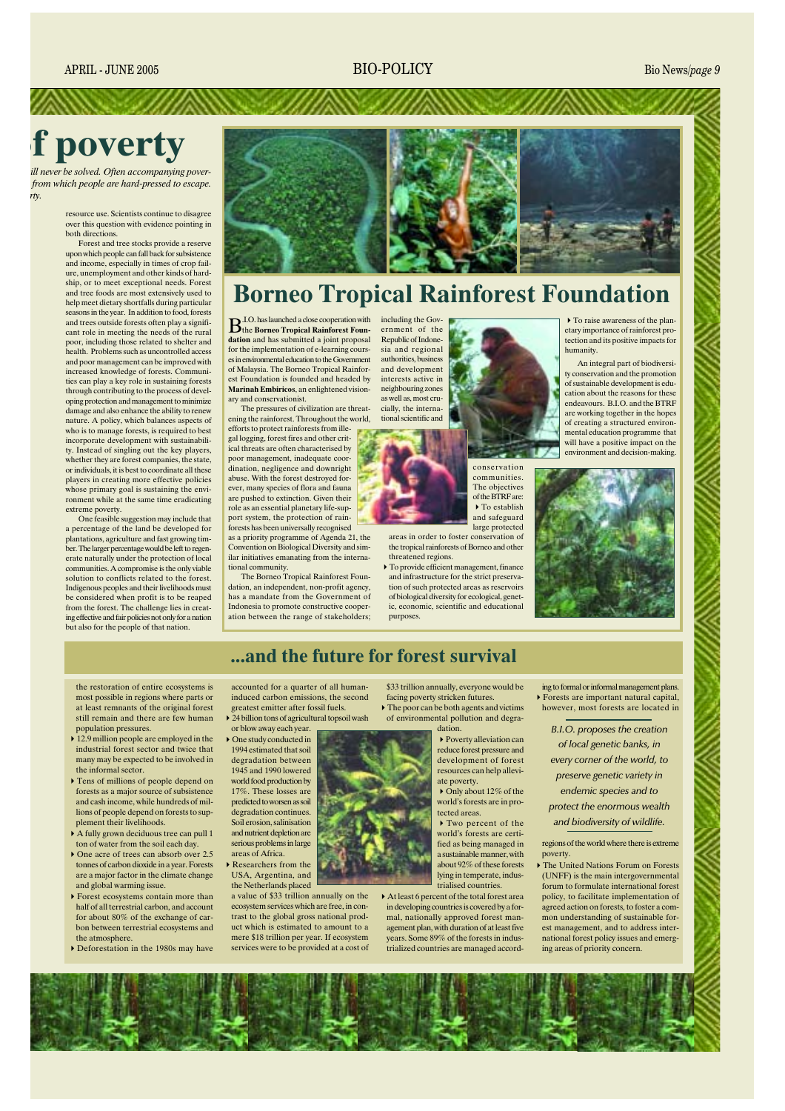## **BIO-POLICY**

Bio News/page 9

# **f** poverty

ill never be solved. Often accompanying poverfrom which people are hard-pressed to escape. rty.

> resource use. Scientists continue to disagree over this question with evidence pointing in both directions.

> Forest and tree stocks provide a reserve upon which people can fall back for subsistence and income, especially in times of crop failure, unemployment and other kinds of hardship, or to meet exceptional needs. Forest and tree foods are most extensively used to help meet dietary shortfalls during particular seasons in the year. In addition to food, forests and trees outside forests often play a significant role in meeting the needs of the rural poor, including those related to shelter and health. Problems such as uncontrolled access and poor management can be improved with increased knowledge of forests. Communities can play a key role in sustaining forests through contributing to the process of developing protection and management to minimize damage and also enhance the ability to renew nature. A policy, which balances aspects of who is to manage forests, is required to best incorporate development with sustainability. Instead of singling out the key players, whether they are forest companies, the state. or individuals, it is best to coordinate all these players in creating more effective policies whose primary goal is sustaining the environment while at the same time eradicating extreme poverty.

> One feasible suggestion may include that percentage of the land be developed for plantations, agriculture and fast growing timber. The larger percentage would be left to regenerate naturally under the protection of local communities. A compromise is the only viable solution to conflicts related to the forest. Indigenous peoples and their livelihoods must be considered when profit is to be reaped from the forest. The challenge lies in creating effective and fair policies not only for a nation but also for the people of that nation



## **Borneo Tropical Rainforest Foundation**

 $\mathbf{B}^{\text{I.O.}}$  has launched a close cooperation with dation and has submitted a joint proposal for the implementation of e-learning courses in environmental education to the Government of Malaysia. The Borneo Tropical Rainforest Foundation is founded and headed by Marinah Embiricos, an enlightened visionary and conservationist.

The pressures of civilization are threatening the rainforest. Throughout the world,

efforts to protect rainforests from illegal logging, forest fires and other critical threats are often characterised by poor management, inadequate coordination, negligence and downright abuse. With the forest destroyed forever, many species of flora and fauna are pushed to extinction. Given their role as an essential planetary life-support system, the protection of rainforests has been universally recognised

as a priority programme of Agenda 21, the Convention on Biological Diversity and similar initiatives emanating from the international community. The Borneo Tropical Rainforest Foun-

dation, an independent, non-profit agency, has a mandate from the Government of Indonesia to promote constructive cooperation between the range of stakeholders; including the Government of the Republic of Indonesia and regional authorities, business and development interests active in neighbouring zones as well as, most crucially, the international scientific and

> conservation communities. The objectives of the BTRF are:  $\triangleright$  To establish and safeguard large protected

areas in order to foster conservation of the tropical rainforests of Borneo and other threatened regions.

To provide efficient management, finance and infrastructure for the strict preservation of such protected areas as reservoirs of biological diversity for ecological, genetic, economic, scientific and educational purposes.

\$33 trillion annually, everyone would be

 $\triangleright$  To raise awareness of the plan etary importance of rainforest protection and its positive impacts for humanity.

An integral part of biodiversity conservation and the promotion of sustainable development is education about the reasons for these endeavours  $BIO$  and the BTRF are working together in the hopes of creating a structured environmental education programme that will have a positive impact on the environment and decision-making



## ...and the future for forest survival

the restoration of entire ecosystems is most possible in regions where parts or at least remnants of the original forest still remain and there are few human population pressures.

- ▶ 12.9 million people are employed in the industrial forest sector and twice that many may be expected to be involved in the informal sector
- $\triangleright$  Tens of millions of people depend on forests as a major source of subsistence and cash income, while hundreds of millions of people depend on forests to supplement their livelihoods.
- A fully grown deciduous tree can pull 1 ton of water from the soil each day.
- One acre of trees can absorb over 2.5 tonnes of carbon dioxide in a year. Forests are a major factor in the climate change and global warming issue.
- $\triangleright$  Forest ecosystems contain more than half of all terrestrial carbon, and account for about 80% of the exchange of carbon between terrestrial ecosystems and the atmosphere.
- $\triangleright$  Deforestation in the 1980s may have

accounted for a quarter of all humaninduced carbon emissions, the second greatest emitter after fossil fuels.  $\triangleright$  24 billion tons of agricultural tonsoil v

or blow away each year.  $\triangleright$  One study conducted in 1994 estimated that soil degradation between 1945 and 1990 lowered world food production by 17%. These losses are predicted to worsen as soil degradation continues. Soil erosion, salinisation and nutrient depletion are serious problems in large areas of Africa

 $\blacktriangleright$  Researchers from the USA, Argentina, and the Netherlands placed a value of \$33 trillion annually on the

ecosystem services which are free, in contrast to the global gross national product which is estimated to amount to a mere \$18 trillion per year. If ecosystem services were to be provided at a cost of



facing poverty stricken futures

reduce forest pressure and development of forest resources can help alleviate poverty.

world's forests are certified as being managed in a sustainable manner, with about 92% of these forests lying in temperate, indus-<br>trialised countries.

 $\blacktriangleright$  At least 6 percent of the total forest area in developing countries is covered by a formal, nationally approved forest management plan, with duration of at least five<br>vears. Some 89% of the forests in industrialized countries are managed accord-



ing to formal or informal management plans.

of local genetic banks, in every corner of the world, to preserve genetic variety in endemic species and to

protect the enormous wealth

and biodiversity of wildlife.

regions of the world where there is extreme poverty.

 $\blacktriangleright$  The United Nations Forum on Forests (UNFF) is the main intergovernmental forum to formulate international forest policy, to facilitate implementation of agreed action on forests, to foster a common understanding of sustainable forest management, and to address international forest policy issues and emerging areas of priority concern.

 $\triangleright$  Only about 12\% of the world's forests are in protected areas  $\blacktriangleright$  Two percent of the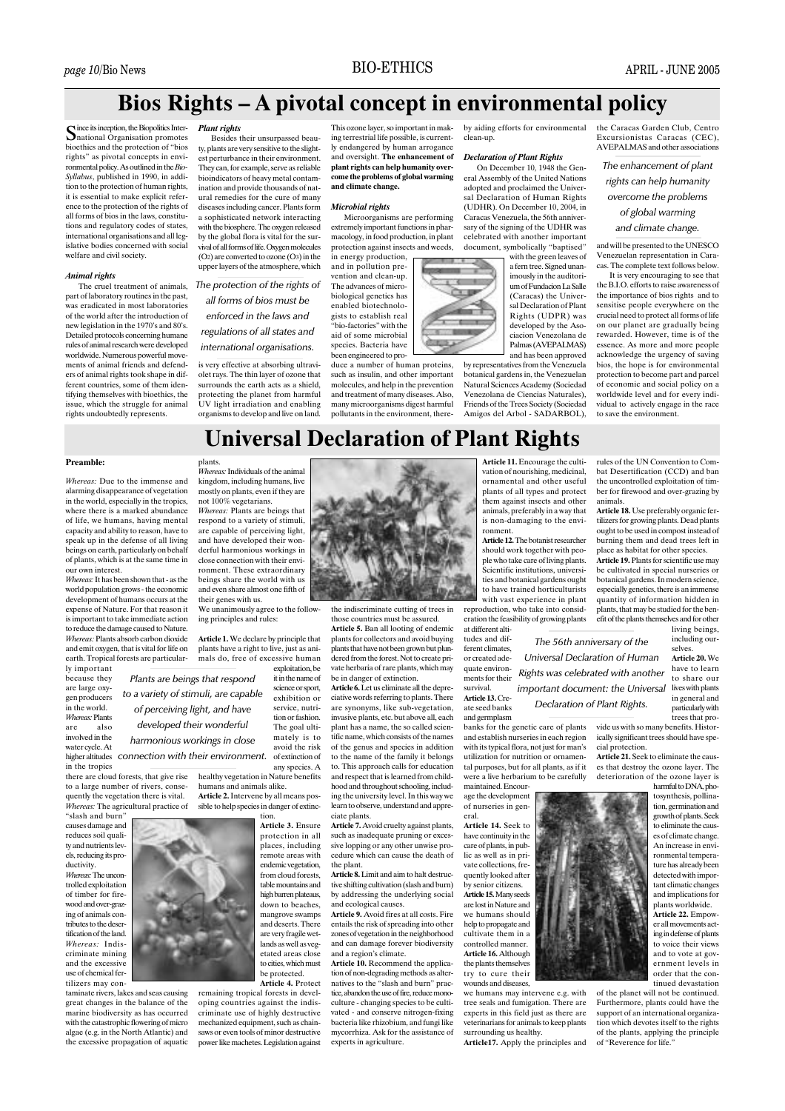## **BIO-ETHICS**

## Bios Rights - A pivotal concept in environmental policy

**Plant rights** Besides their unsurpassed beau-

Since its inception, the Biopolitics Inter-<br>Snational Organisation promotes bioethics and the protection of "bios ty, plants are very sensitive to the slightrights" as pivotal concepts in environmental policy. As outlined in the Bio-Syllabus, published in 1990, in addition to the protection of human rights,<br>it is essential to make explicit reference to the protection of the rights of all forms of bios in the laws, constitutions and regulatory codes of states, international organisations and all legislative bodies concerned with social welfare and civil society.

#### **Animal rights**

The cruel treatment of animals. part of laboratory routines in the past, .<br>was eradicated in most laboratories of the world after the introduction of new legislation in the 1970's and 80's Detailed protocols concerning humane rules of animal research were developed worldwide. Numerous powerful movements of animal friends and defenders of animal rights took shape in different countries, some of them identifying themselves with bioethics. the issue, which the struggle for animal rights undoubtedly represents.

est perturbance in their environment. They can, for example, serve as reliable bioindicators of heavy metal contamination and provide thousands of natural remedies for the cure of many diseases including cancer. Plants form a sophisticated network interacting

with the biosphere. The oxygen released by the global flora is vital for the survival of all forms of life. Oxygen molecules  $(O<sub>2</sub>)$  are converted to ozone  $(O<sub>3</sub>)$  in the  $\frac{1}{2}$  and  $\frac{1}{2}$  are contributed to the state  $\frac{1}{2}$  (see ) in the The protection of the rights of

## all forms of bios must be

enforced in the laws and regulations of all states and international organisations.

is very effective at absorbing ultraviolet rays. The thin layer of ozone that surrounds the earth acts as a shield, protecting the planet from harmful<br>UV light irradiation and enabling organisms to develop and live on land.

This ozone laver so important in making terrestrial life possible, is currently endangered by human arrogance and oversight. The enhancement of plant rights can help humanity overcome the problems of global warming and climate change.

#### **Microbial rights**

Microorganisms are performing extremely important functions in pharmacology, in food production, in plant protection against insects and weeds, in energy production.

and in pollution pre- $\frac{1}{2}$  wention and clean-up. The advances of microbiological genetics has enabled biotechnologists to establish real bio-factories" with the aid of some microbial species. Bacteria have been engineered to pro-

duce a number of human proteins, such as insulin, and other important molecules, and help in the prevention and treatment of many diseases. Also,<br>many microorganisms digest harmful pollutants in the environment thereby aiding efforts for environmental clean-up

#### **Declaration of Plant Rights**

On December 10, 1948 the General Assembly of the United Nations adopted and proclaimed the Universal Declaration of Human Rights (UDHR). On December 10, 2004, in Caracas Venezuela the 56th anniversary of the signing of the UDHR was celebrated with another important document, symbolically "baptised"

with the green leaves of a fern tree. Signed unanimously in the auditori. um of Fundacion La Salle (Caracas) the Universal Declaration of Plant Rights (UDPR) was developed by the Asociacion Venezolana de Palmas (AVEPALMAS) and has been approved

by representatives from the Venezuela botanical gardens in, the Venezuelan Natural Sciences Academy (Sociedad Venezolana de Ciencias Naturales),<br>Friends of the Trees Society (Sociedad Amigos del Arbol - SADARBOL).

the Caracas Garden Club, Centro Excursionistas Caracas (CEC), AVEPALMAS and other association

The enhancement of plant rights can help humanity

overcome the problems

## of global warming

and climate change.

and will be presented to the UNESCO Venezuelan representation in Caracas. The complete text follows below.

It is very encouraging to see that the B.I.O. efforts to raise awareness of the importance of bios rights and to sensitise people everywhere on the crucial need to protect all forms of life on our planet are gradually being rewarded However time is of the essence. As more and more people acknowledge the urgency of saving bios, the hope is for environmental protection to become part and parcel of economic and social policy on a worldwide level and for every individual to actively engage in the race to save the environment

## **Universal Declaration of Plant Rights**

#### **Preamble**

Whereas: Due to the immense and alarming disappearance of vegetation in the world, especially in the tropics. where there is a marked abundance of life, we humans, having mental capacity and ability to reason, have to speak up in the defense of all living beings on earth, particularly on behalf of plants, which is at the same time in our own interest.

Whereas: It has been shown that - as the world population grows - the economic development of humans occurs at the expense of Nature. For that reason it is important to take immediate action to reduce the damage caused to Nature. Whereas: Plants absorb carbon dioxide and emit oxygen, that is vital for life on earth. Tropical forests are particularly important

because they are large oxy gen producers in the world. Whereas: Plants are also involved in the water cycle. At in the tropics

there are cloud forests, that give rise to a large number of rivers, consequently the vegetation there is vital. Whereas: The agricultural practice of

"slash and burn' causes damage and reduces soil quality and nutrients levels, reducing its productivity

*Mhereas*: The uncontrolled exploitation of timber for fire. wood and over-grazing of animals contributes to the deser. tification of the land Whereas: Indiscriminate mining and the excessive use of chemical fertilizers may con-

taminate rivers, lakes and seas causing great changes in the balance of the marine biodiversity as has occurred with the catastrophic flowering of micro algae (e.g. in the North Atlantic) and the excessive propagation of aquatic plants.<br>Whereas: Individuals of the animal kingdom, including humans, live mostly on plants, even if they are not 100% vegetarians.

*Whereas:* Plants are beings that respond to a variety of stimuli are capable of perceiving light, and have developed their wonderful harmonious workings in close connection with their enviroute comment. These extraordinary beings share the world with us and even share almost one fifth of their genes with us.

We unanimously agree to the following principles and rules:

Article 1. We declare by principle that plants have a right to live, just as animals do, free of excessive human exploitation be

 $\frac{1}{1}$  it in the name of Plants are beings that respond science or sport, to a variety of stimuli, are capable  $exhibition$ service, nutriof perceiving light, and have tion or fashion. developed their wonderful The goal ultimately is to harmonious workings in close avoid the risk higher altitudes connection with their environment. of extinction of

> any species. A healthy vegetation in Nature benefits humans and animals alike. Article 2. Intervene by all means possible to help species in danger of extinc-

tion. Article 3. Ensure protection in all<br>places, including remote areas with endemic vegetation from cloud forests, mangrove swamps and deserts There are very fragile wetlands as well as vegetated areas close to cities, which must be protected. Article 4. Protect

remaining tropical forests in developing countries against the indiscriminate use of highly destructive mechanized equipment, such as chainsaws or even tools of minor destructive power like machetes. Legislation against



the indiscriminate cutting of trees in those countries must be assured.

Article 5. Ban all looting of endemic plants for collectors and avoid buying plants that have not been grown but plundered from the forest. Not to create private herbaria of rare plants, which may be in danger of extinction.

Article 6. Let us eliminate all the depreciative words referring to plants. There are synonyms, like sub-vegetation, invasive plants, etc. but above all, each plant has a name, the so called scientific name, which consists of the names of the genus and species in addition to the name of the family it belongs to. This approach calls for education and respect that is learned from childhood and throughout schooling, including the university level. In this way we learn to observe, understand and appreciate plants.

such as inadequate pruning or excessive lopping or any other unwise procedure which can cause the death of the plant.

tive shifting cultivation (slash and burn) by addressing the underlying social and ecological causes.

entails the risk of spreading into other zones of vegetation in the neighborhood and can damage forever biodiversity and a region's climate.

tion of non-degrading methods as alternatives to the "slash and burn" practice abandon the use of fire reduce monoculture - changing species to be cultivated - and conserve nitrogen-fixing bacteria like rhizobium, and fungi like mycorrhiza. Ask for the assistance of experts in agriculture.

Article 11. Encourage the cultivation of nourishing, medicinal. ornamental and other useful plants of all types and protect them against insects and other animals, preferably in a way that is non-damaging to the environment

Article 12. The botanist researcher should work together with people who take care of living plants. Scientific institutions, universities and botanical gardens ought to have trained horticulturists with vast experience in plant reproduction, who take into consid-

Universal Declaration of Human

Rights was celebrated with another

Declaration of Plant Rights.

eration the feasibility of growing plants at different altitudes and dif-The 56th anniversary of the

ferent climates or created ade quate environments for their enrvival

Article 13. Create seed banks and germplasm

banks for the genetic care of plants and establish nurseries in each region with its typical flora, not just for man's utilization for nutrition or ornamental purposes, but for all plants, as if it were a live herbarium to be carefully maintained. Encour-

age the development of nurseries in general.

Article 14. Seek to have continuity in the care of plants, in pub- $\frac{1}{2}$  lic as well as in private collections frequently looked after by senior citizens. Article 15. Many seeds are lost in Nature and we humans should

help to propagate and cultivate them in a controlled manner. Article 16. Although the plants themselves try to cure their wounds and diseases

we humans may intervene e.g. with tree seals and fumigation. There are experts in this field just as there are veterinarians for animals to keep plants surrounding us healthy.

Article17. Apply the principles and

rules of the UN Convention to Combat Desertification (CCD) and ban the uncontrolled exploitation of timber for firewood and over-grazing by animals

Article 18. Use preferably organic fertilizers for growing plants. Dead plants ought to be used in compost instead of burning them and dead trees left in place as habitat for other species.

Article 19. Plants for scientific use may be cultivated in special nurseries of botanical gardens. In modern science, especially genetics, there is an immense quantity of information hidden in plants, that may be studied for the benefit of the plants themselves and for other living beings,

including ourselves. Article 20. We

have to learn to share our important document: the Universal lives with plants in general and particularly with

r<br>trees that provide us with so many benefits. Historically significant trees should have special protection

Article 21. Seek to eliminate the causes that destroy the ozone layer. The deterioration of the ozone laver is

harmful to DNA, photosynthesis, pollination, germination and growth of plants. Seek to eliminate the causes of climate change. An increase in environmental temperature has already been detected with important climatic changes and implications for plants worldwide.

Article 22. Empower all movements acting in defense of plants to voice their views and to vote at government levels in order that the continued devastation

of the planet will not be continued. Furthermore, plants could have the support of an international organization which devotes itself to the rights of the plants, applying the principle of "Reverence for life."



table mountains and high barren plateaus. down to beaches,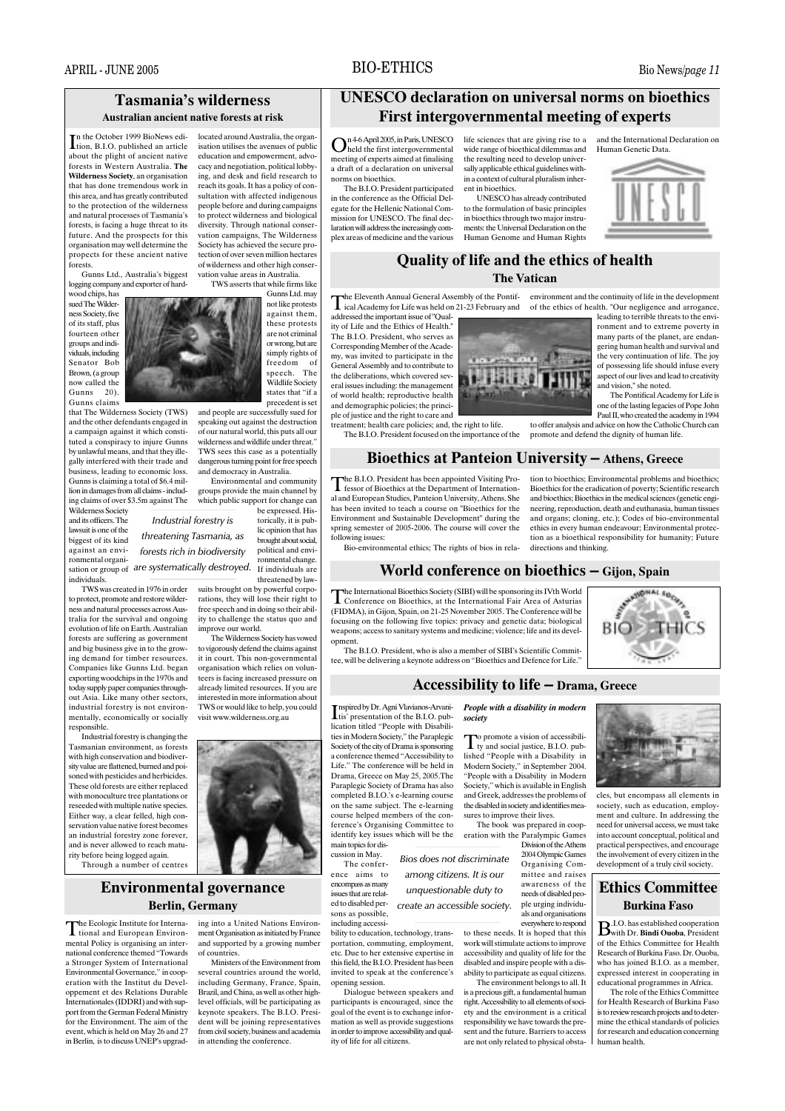## **BIO-ETHICS**

## **Tasmania's wilderness Australian ancient native forests at risk**

In the October 1999 BioNews edition, B.I.O. published an article about the plight of ancient native forests in Western Australia. The Wilderness Society, an organisation that has done tremendous work in this area, and has greatly contributed to the protection of the wilderness and natural processes of Tasmania's forests, is facing a huge threat to its future. And the prospects for this organisation may well determine the propects for these ancient native forests

Gunns Ltd Australia's higgest logging company and exporter of hard-

wood chips, has sued The Wilderness Society, five of its staff, plus fourteen other groups and individuals including Senator Bob Brown, (a group now called the Gunns 20). Gunns claims

that The Wilderness Society (TWS) and the other defendants engaged in a campaign against it which constituted a conspiracy to injure Gunns by unlawful means, and that they illegally interfered with their trade and business, leading to economic loss. Gunns is claiming a total of \$6.4 million in damages from all claims - including claims of over \$3.5m against The

Wilderness Society and its officers. The lawsuit is one of the biggest of its kind against an environmental organiindividuals

TWS was created in 1976 in order to protect, promote and restore wilderness and natural processes across Australia for the survival and ongoing evolution of life on Earth Australian forests are suffering as government and big business give in to the growing demand for timber resources. Companies like Gunns Ltd. began exporting woodchips in the 1970s and today supply paper companies throughout Asia. Like many other sectors. industrial forestry is not environmentally, economically or socially responsible.

Industrial forestry is changing the Tasmanian environment, as forests with high conservation and biodiversity value are flattened, burned and poisoned with pesticides and herbicides.<br>These old forests are either replaced with monoculture tree plantations or reseaded with multiple native species Either way, a clear felled, high conservation value native forest becomes an industrial forestry zone forever and is never allowed to reach maturity before being logged again.

Through a number of centres

## **Environmental governance Berlin, Germany**

The Ecologic Institute for Interna-The Ecologic Institute for Internal<br>tional and European Environmental Policy is organising an international conference themed "Towards a Stronger System of International Fnvironmental Governance," in cooperation with the Institut du Developpement et des Relations Durable Internationales (IDDRI) and with support from the German Federal Ministry for the Environment. The aim of the event, which is held on May 26 and 27 in Berlin, is to discuss UNEP's upgrad-



precedent is set and people are successfully sued for speaking out against the destruction of our natural world, this puts all our wilderness and wildlife under threat. TWS sees this case as a potentially dangerous turning point for free speech and democracy in Australia.

located around Australia, the organ-

isation utilises the avenues of public

education and empowerment, advo-

cacy and negotiation, political lobby

ing, and desk and field research to

reach its goals. It has a policy of con-

sultation with affected indigenous

people before and during campaigns

to protect wilderness and biological

diversity. Through national conser-

vation campaigns. The Wilderness

Society has achieved the secure pro-

tection of over seven million hectares

of wilderness and other high conser-

Gunns Ltd. may

not like protests

against them

these protests

are not criminal

or wrong, but are

simply rights of

freedom of<br>speech. The

Wildlife Society

states that "if a

vation value areas in Australia.

Environmental and community groups provide the main channel by<br>which public support for change can be expressed. His

Industrial forestry is torically, it is public opinion that has threatening Tasmania, as brought about social, political and enviforests rich in biodiversity ronmental change sation or group of are systematically destroyed. If individuals are

threatened by law suits brought on by powerful corporations, they will lose their right to free speech and in doing so their ability to challenge the status quo and improve our world.

The Wilderness Society has yowed the Whatshess Secrety has veneed it in court. This non-governmental organisation which relies on volunteers is facing increased pressure on already limited resources. If you are interested in more information about TWS or would like to help, you could visit www.wilderness.org.au

ing into a United Nations Environment Organisation as initiated by France and supported by a growing number of countries.

Ministers of the Environment from several countries around the world. including Germany, France, Spain. Brazil, and China, as well as other highlevel officials, will be participating as keynote speakers. The B.I.O. President will be joining representatives from civil society, business and academia in attending the conference.

## **UNESCO** declaration on universal norms on bioethics First intergovernmental meeting of experts

meeting of experts aimed at finalising a draft of a declaration on universal norms on bioethics.

The B.I.O. President participated in the conference as the Official Delegate for the Hellenic National Commission for UNESCO. The final declaration will address the increasingly complex areas of medicine and the various

 $\mathbf{O}^{\text{n4-6}$  April 2005, in Paris, UNESCO life sciences that are giving rise to a held the first intergovernmental wide range of bioethical dilemmas and the resulting need to develop universally applicable ethical guidelines within a context of cultural pluralism inherent in bioethics.

UNESCO has already contributed to the formulation of basic principles in bioethics through two major instruments: the Universal Declaration on the Human Genome and Human Rights

and the International Declaration on Human Genetic Data.



leading to terrible threats to the envi-

ronment and to extreme poverty in

## Quality of life and the ethics of health **The Vatican**

The Eleventh Annual General Assembly of the Pontif-<br>environment and the continuity of life in the development The Eleventh Annual Octobra Associately of the Lie<br>ical Academy for Life was held on 21-23 February and addressed the important issue of "Oual.

ity of Life and the Ethics of Health." The B.I.O. President, who serves as Corresponding Member of the Academy, was invited to participate in the General Assembly and to contribute to the deliberations, which covered several issues including: the management of world health; reproductive health and demographic policies; the princi-<br>ple of justice and the right to care and

treatment; health care policies; and, the right to life. The B.I.O. President focused on the importance of the



**Bioethics at Panteion University – Athens. Greece** 

many parts of the planet, are endangering human health and survival and the very continuation of life. The joy of possessing life should infuse every aspect of our lives and lead to creativity and vision," she noted. The Pontifical Academy for Life is one of the lasting legacies of Pope John<br>Paul II, who created the academy in 1994

directions and thinking

to offer analysis and advice on how the Catholic Church can promote and defend the dignity of human life.

tion to bioethics; Environmental problems and bioethics:

Bioethics for the eradication of poverty; Scientific research

and bioethics; Bioethics in the medical sciences (genetic engi-

neering, reproduction, death and euthanasia, human tissues

and organs; cloning, etc.); Codes of bio-environmental

ethics in every human endeavour; Environmental protec-

tion as a bioethical responsibility for humanity; Future

of the ethics of health. "Our negligence and arrogance,

The B.LO. President has been appointed Visiting Professor of Bioethics at the Department of International and European Studies, Panteion University, Athens. She has been invited to teach a course on "Bioethics for the Environment and Sustainable Development" during the spring semester of 2005-2006. The course will cover the following issues:

Bio-environmental ethics: The rights of bios in rela-

### World conference on bioethics – Gijon, Spain

The International Bioethics Society (SIBI) will be sponsoring its IVth World The international biocentes occurs, (1111). (FIDMA), in Gijon, Spain, on 21-25 November 2005. The Conference will be focusing on the following five topics: privacy and genetic data; biological weapons: access to sanitary systems and medicine; violence: life and its development.

The B.I.O. President, who is also a member of SIBI's Scientific Committee, will be delivering a keynote address on "Bioethics and Defence for Life."

unquestionable duty to

society



o promote a vision of accessibili-

nspired by Dr. Agni Vlavianos-Arvani-The Surgeon of the B.I.O. publication titled "People with Disabilities in Modern Society," the Paraplegic Society of the city of Drama is sponsoring a conference themed "Accessibility to Life." The conference will be held in Drama, Greece on May 25, 2005. The Paraplegic Society of Drama has also completed B.I.O.'s e-learning course on the same subject. The e-learning course helped members of the conference's Organising Committee to identify key issues which will be the main topics for dis-

cussion in May. The conference aims to encompass as many issues that are related to disabled persons as possible. including accessi-

bility to education, technology, transportation, commuting, employment, etc. Due to her extensive expertise in this field, the B.I.O. President has been invited to speak at the conference's opening session.

Dialogue between speakers and participants is encouraged, since the goal of the event is to exchange information as well as provide suggestions in order to improve accessibility and quality of life for all citizens.

To promote a vision of the conditions of the condition of the state of the state of the state of the state of the state of the state of the state of the state of the state of the state of the state of the state of the stat lished "People with a Disability in Modern Society," in September 2004. "People with a Disability in Modern Society," which is available in English and Greek, addresses the problems of the disabled in society and identifies measures to improve their lives. The book was prepared in coop-

eration with the Paralympic Games Division of the Athens 2004 Olympic Games Bios does not discriminate Organising Comamong citizens. It is our mittee and raises

awareness of the needs of disabled people urging individucreate an accessible society. als and organisations everywhere to respond

> to these needs. It is hoped that this work will stimulate actions to improve accessibility and quality of life for the disabled and inspire people with a disability to participate as equal citizens. The environment belongs to all. It

> is a precious gift, a fundamental human right. Accessibility to all elements of society and the environment is a critical responsibility we have towards the present and the future. Barriers to access are not only related to physical obsta-



**HALSOCKA** 



cles, but encompass all elements in society, such as education, employment and culture. In addressing the need for universal access, we must take into account concentual political and practical perspectives, and encourage the involvement of every citizen in the development of a truly civil society.

## **Ethics Committee Burkina Faso**

 $\overline{10}$  has established cooperation Buith Dr. Bindi Ouoba, President of the Ethics Committee for Health Research of Burkina Faso, Dr. Quoba. who has joined B.I.O. as a member, expressed interest in cooperating in educational programmes in Africa.

The role of the Ethics Committee for Health Research of Burkina Faso is to review research projects and to determine the ethical standards of policies for research and education concerning human health.

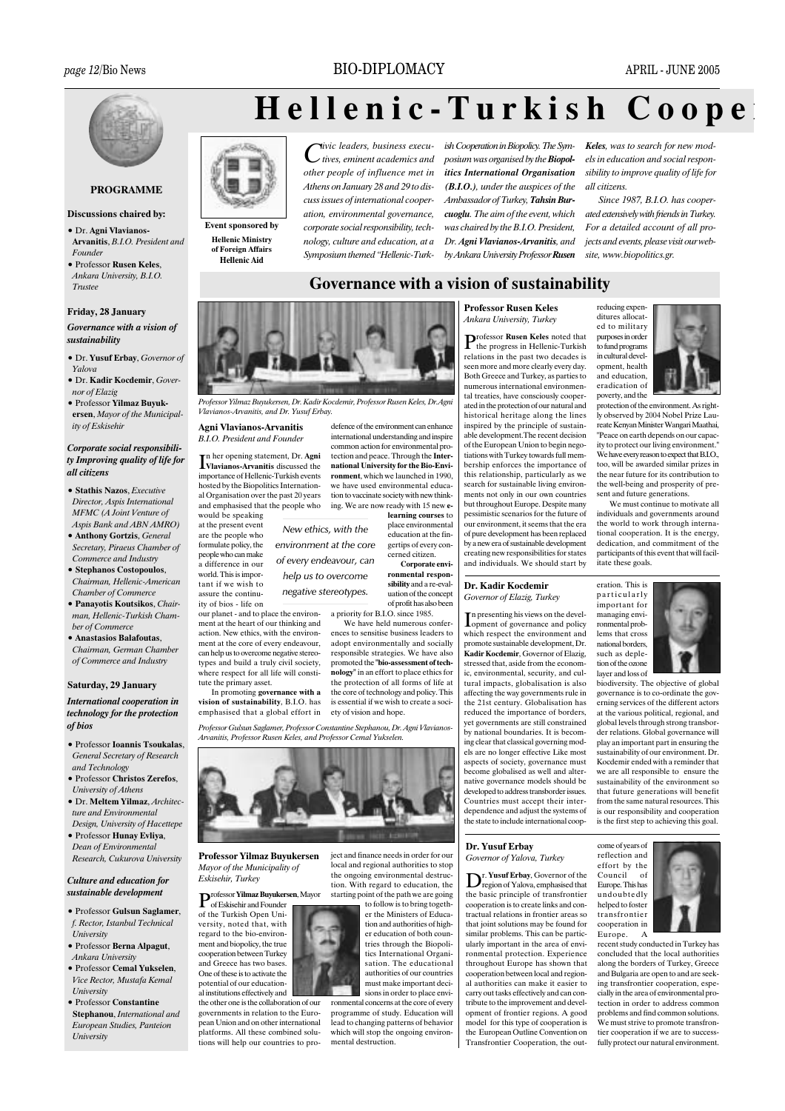## **BIO-DIPLOMACY**



## **PROGRAMME**

#### **Discussions chaired by:**

- · Dr. Agni Vlavianos-Arvanitis, B.I.O. President and Founder
- **Professor Rusen Keles** Ankara University, B.I.O. Trustee

#### Friday, 28 January

Governance with a vision of sustainability

- · Dr. Yusuf Erbay, Governor of Yalovo
- · Dr. Kadir Kocdemir, Governor of Elazig
- · Professor Yilmaz Buyukersen, Mayor of the Municipality of Eskisehir

#### Corporate social responsibility Improving quality of life for all citizens

- Stathis Nazos Executive Director Aspis International MFMC (A Joint Venture of Aspis Bank and ABN AMRO)
- · Anthony Gortzis, General Secretary, Piraeus Chamber of Commerce and Industry
- · Stephanos Costopoulos, Chairman, Hellenic-American
- Chamber of Commerce · Panayotis Koutsikos, Chair-
- man, Hellenic-Turkish Chamber of Commerce
- · Anastasios Balafoutas,
- Chairman German Chamber of Commerce and Industry

#### Saturday, 29 January

#### **International cooperation in** technology for the protection of bios

- · Professor Ioannis Tsoukalas, **General Secretary of Research** and Technology
- · Professor Christos Zerefos, University of Athens
- · Dr. Meltem Yilmaz, Architecture and Environmental Design. University of Hacettene
- · Professor Hunay Evliya, Dean of Environmental Research, Cukurova University

#### Culture and education for sustainable development

- Professor Gulsun Saglamer. f. Rector, Istanbul Technical University
- Professor Berna Alpagut. Ankara University
- **Professor Cemal Vukselen** Vice Rector, Mustafa Kemal **I** Iniversity
- · Professor Constantine Stephanou, International and European Studies, Panteion University

## Hellenic-Turkish  $C$  o o p e



**Hellenic Aid** 

Event sponsored by **Hellenic Ministry** of Foreign Affairs

*ivic leaders* business execu- $\lambda$  tives, eminent academics and other people of influence met in Athens on January 28 and 29 to discuss issues of international cooperation, environmental governance, corporate social responsibility, technology, culture and education, at a Symposium themed "Hellenic-Turk-

ish Cooperation in Biopolicy. The Symposium was organised by the Biopolitics International Organisation  $(B,I,O.)$ , under the auspices of the Ambassador of Turkey, Tahsin Burcuoglu. The aim of the event, which was chaired by the  $BIO$  President Dr. Agni Vlavianos-Arvanitis, and by Ankara University Professor Rusen **Keles.** was to search for new models in education and social responsibility to improve quality of life for all citizens

Since 1987, B.I.O. has cooperated extensively with friends in Turkey. For a detailed account of all projects and events, please visit our website, www.biopolitics.gr.

## Governance with a vision of sustainability



Professor Vilmaz Ruvukersen, Dr. Kadir Kocdemir, Professor Rusen Keles, Dr. Aon. Vlavianos-Arvanitis, and Dr. Yusuf Erbay.

Aoni Vlavianos-Arvanitis **B.I.O.** President and Founder

In her opening statement, Dr. Agni<br>Vlavianos-Arvanitis discussed the importance of Hellenic-Turkish events hosted by the Biopolitics International Organisation over the past 20 years and emphasised that the people who would be speaking

our planet - and to place the environ-

ment at the heart of our thinking and

action. New ethics, with the environ-

ment at the core of every endeavour,

can help us to overcome negative stereo-

types and build a truly civil society,

where respect for all life will consti-

at the present event

are the people who<br>formulate policy, the

people who can make

a difference in our

world. This is impor-

tant if we wish to

assure the continu-

ity of bios - life on

tute the primary asset.

New ethics, with the environment at the core

of every endeavour, can help us to overcome negative stereotypes.

common action for environm ental protection and peace. Through the **Inter**national University for the Bio-Environment, which we launched in 1990. we have used environmental education to vaccinate society with new thinking. We are now ready with 15 new e-

defence of the environment can enhance

international understanding and inspire

cerned citizen

ronmental responsibility and a re-evaluation of the concept of profit has also been

We have held numerous conferences to sensitise business leaders to

adopt environmentally and socially responsible strategies. We have also promoted the "bio-assessment of technology" in an effort to place ethics for the protection of all forms of life at the core of technology and policy. This

Professor Gulsun Saglamer, Professor Constantine Stephanou, Dr. Agni Vlavianos-Arvanitis Professor Rusen Keles and Professor Cemal Yukselen



**Professor Yilmaz Buvukersen** Mayor of the Municipality of Eskisehir. Turkey

of Eskisehir and Founder of the Turkish Open University noted that with regard to the bio-environment and biopolicy, the true cooperation between Turkey and Greece has two bases. One of these is to activate the potential of our educational institutions effectively and

the other one is the collaboration of our governments in relation to the European Union and on other international platforms. All these combined solutions will help our countries to prolearning courses to place environmental education at the fingertips of every con-

Cornorate envi-

a priority for B.I.O. since 1985.

In promoting governance with a vision of sustainability, B.I.O. has is essential if we wish to create a sociemphasised that a global effort in ety of vision and hope.



 $\mathbf{P}_{\text{of Eekian}}^{\text{rofessor Yilmaz Buyukersen, Mayor}}$ 

starting point of the path we are going to follow is to bring togeth-

er the Ministers of Education and authorities of higher education of both countries through the Biopolitics International Organisation. The educational authorities of our countries

must make important deci-

ject and finance needs in order for our

local and regional authorities to stor

the ongoing environmental destruc-

tion. With regard to education, the

sions in order to place environmental concerns at the core of every programme of study Education will lead to changing patterns of behavior which will stop the ongoing environmental destruction.

# **Professor Rusen Keles** Ankara University, Turkey

Professor Rusen Keles noted that<br>The progress in Hellenic-Turkish relations in the past two decades is seen more and more clearly every day. Both Greece and Turkey, as parties to numerous international environmental treaties, have consciously cooperated in the protection of our natural and historical heritage along the lines inspired by the principle of sustainable development. The recent decision of the European Union to begin negotiations with Turkey towards full membership enforces the importance of this relationship, particularly as we search for sustainable living environments not only in our own countries but throughout Europe. Despite many pessimistic scenarios for the future of our environment, it seems that the era of pure development has been replaced by a new era of sustainable development creating new responsibilities for states and individuals. We should start by

#### Dr. Kadir Kocdemir Governor of Elazie, Turkey

n presenting his views on the devel-Lopment of governance and policy which respect the environment and promote sustainable development, Dr. Kadir Kocdemir, Governor of Elazig, stressed that, aside from the economic, environmental, security, and cultural impacts, globalisation is also affecting the way governments rule in the 21st century. Globalisation has reduced the importance of borders. yet governments are still constrained by national boundaries. It is becoming clear that classical governing models are no longer effective Like most aspects of society, governance must become globalised as well and alternative governance models should be developed to address transborder issues. Countries must accept their interdependence and adjust the systems of the state to include international coop-



protection of the environment. As right-Iv observed by 2004 Nobel Prize Laureate Kenyan Minister Wangari Maathai, "Peace on earth depends on our capacity to protect our living environment We have every reason to expect that B.I.O., too will be awarded similar prizes in the near future for its contribution to the well-being and prosperity of present and future generations.

We must continue to motivate all individuals and governments around the world to work through international cooperation. It is the energy, dedication, and commitment of the participants of this event that will facilitate these goals.

eration. This is particularly important for managing environmental problems that cross national borders, such as depletion of the ozone layer and loss of biodiversity. The objective of global



governance is to co-ordinate the governing services of the different actors at the various political regional and global levels through strong transborder relations. Global governance will play an important part in ensuring the sustainability of our environment. Dr. Kocdemir ended with a reminder that we are all responsible to ensure the sustainability of the environment so that future generations will benefit from the same natural resources. This is our responsibility and cooperation is the first step to achieving this goal.

## Dr. Yusuf Erbay Governor of Yalova, Turkey

 $\mathbf{D}^{\text{r. Yusuf Erbay, Government of the}}$ <br>region of Yalova, emphasised that the basic principle of transfrontier cooperation is to create links and contractual relations in frontier areas so that joint solutions may be found for similar problems. This can be particularly important in the area of environmental protection. Experience throughout Europe has shown that cooperation between local and regional authorities can make it easier to carry out tasks effectively and can contribute to the improvement and development of frontier regions. A good model for this type of cooperation is the European Outline Convention on Transfrontier Cooperation, the outcome of years of reflection and effort by the  $\alpha$ f Council Europe. This has undoubtedly helped to foster transfrontier cooperation in Europe.  $\overline{A}$ 



recent study conducted in Turkey has concluded that the local authorities along the borders of Turkey. Greece and Bulgaria are open to and are seeking transfrontier cooperation, especially in the area of environmental protection in order to address common problems and find common solutions. We must strive to promote transfrontier cooperation if we are to successfully protect our natural environment.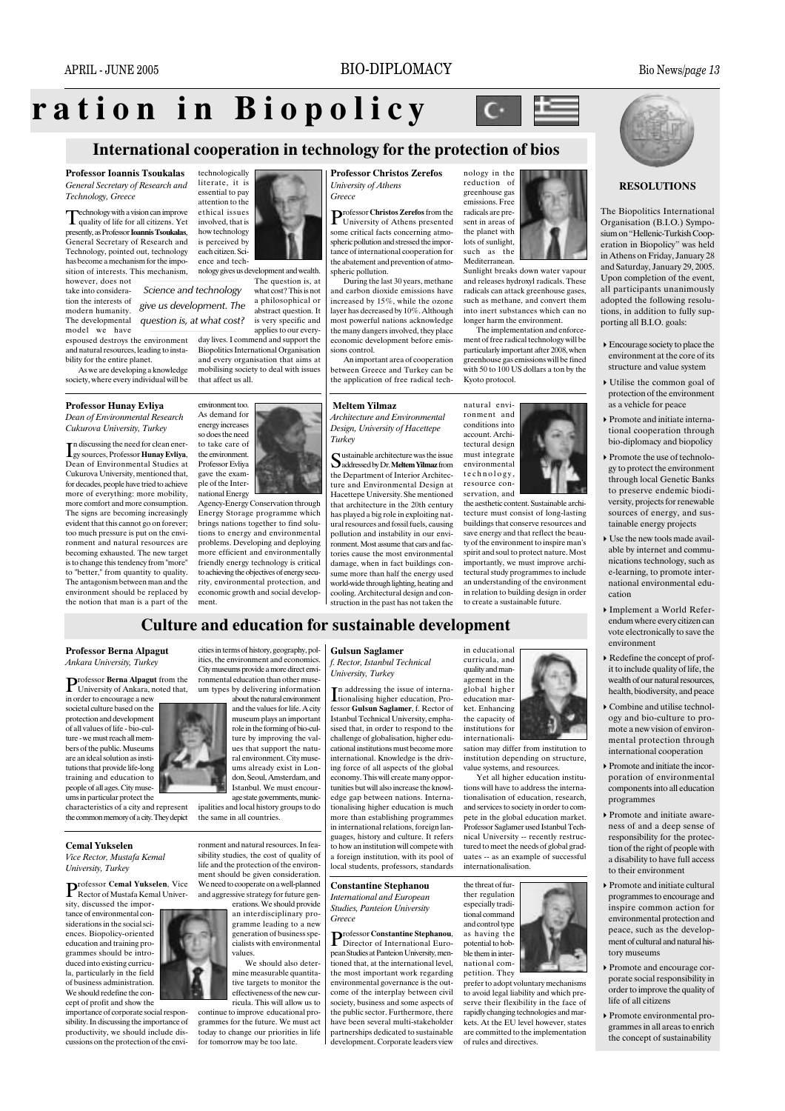ration in Biopolicy

## International cooperation in technology for the protection of bios

**Professor Ioannis Tsoukalas** General Secretary of Research and Technology, Greece

Technology with a vision can improve<br>quality of life for all citizens. Yet presently, as Professor **Ioannis Tsoukalas**. General Secretary of Research and Technology, pointed out, technology has become a mechanism for the imposition of interests. This mechanism, however, does not

take into considera. tion the interests of modern humanity. The developmental model we have

espoused destroys the environment and natural resources, leading to instability for the entire planet.

As we are developing a knowledge society, where every individual will be

Professor Hunay Evliya

Dean of Environmental Research Cukurova University, Turkey

n discussing the need for clean ener-Ley sources, Professor Hunay Evliya, Dean of Environmental Studies at Cukurova University, mentioned that, for decades, people have tried to achieve more of everything: more mobility. more comfort and more consumption. The signs are becoming increasingly evident that this cannot go on forever; too much pressure is put on the environment and natural resources are becoming exhausted. The new target<br>is to change this tendency from "more" to "better." from quantity to quality. The antagonism between man and the environment should be replaced by the notion that man is a part of the

**Professor Berna Alpagut** 

rofessor Berna Alpagut from the

University of Ankara, noted that,

Ankara University, Turkey

in order to encourage a new

societal culture based on the

protection and development

of all values of life - bio-cul-

ture - we must reach all mem-

bers of the public. Museums

are an ideal solution as insti-

tutions that provide life-long

training and education to

people of all ages. City muse-

ums in particular protect the

Vice Rector, Mustafa Kemal

sity, discussed the impor-

tance of environmental con-

siderations in the social sci-

ences. Biopolicy-oriented

education and training pro-

grammes should be intro-<br>duced into existing curricu-

la, particularly in the field

of business administration

We should redefine the con-

cept of profit and show the

importance of corporate social respon-

sibility. In discussing the importance of

productivity, we should include dis-

cussions on the protection of the envi-

**Cemal Yukselen** 

University, Turkey

characteristics of a city and represent

the common memory of a city. They depict

Professor Cemal Yukselen, Vice<br>Rector of Mustafa Kemal Univer-

technologically literate, it is essential to pay attention to the ethical issues involved, that is how technology is perceived by each citizen. Sci ence and technology gives us development and wealth

The question is, at Science and technology what cost? This is not a philosophical or give us development. The abstract question. It question is, at what cost? is very specific and applies to our every

day lives. I commend and support the Biopolitics International Organisation and every organisation that aims at that affect us all.



Agency-Energy Conservation through Energy Storage programme which brings nations together to find solu tions to energy and environmental problems. Developing and deploying more efficient and environmentally friendly energy technology is critical to achieving the objectives of energy secu rity, environmental protection, and economic growth and social development.

ronmental education than other muse

um types by delivering information

#### **Professor Christos Zerefos University of Athens** Greece

rofessor Christos Zerefos from the University of Athens presented some critical facts concerning atmospheric pollution and stressed the importance of international cooperation for the abatement and prevention of atmospheric pollution.

During the last 30 years, methane and carbon dioxide emissions have increased by 15%, while the ozone layer has decreased by 10%. Although most powerful nations acknowledge the many dangers involved, they place economic development before emissions control

between Greece and Turkey can be the application of free radical tech-



An important area of cooperation

**Meltem Yilmaz** Architecture and Environmental Design, University of Hacettepe Turkey

ustainable architecture was the issue Sustainable divenues... the Department of Interior Architecture and Environmental Design at Hacettepe University. She mentioned that architecture in the 20th century has played a big role in exploiting natural resources and fossil fuels, causing pollution and instability in our environment. Most assume that cars and factories cause the most environmental damage, when in fact buildings consume more than half the energy used world-wide through lighting heating and cooling. Architectural design and construction in the past has not taken the

greenhouse gas emissions Free radicals are present in areas of the planet with lots of sunlight. such as the Mediterranean Sunlight breaks down water vapour

 $\mathbf{C}$ 

nology in the

reduction of

E

and releases hydroxyl radicals. These radicals can attack greenhouse gases, such as methane, and convert them into inert substances which can no longer harm the environment.

The implementation and enforcement of free radical technology will be particularly important after 2008, when greenhouse gas emissions will be fined with 50 to  $100$  US dollars a ton by the Kvoto protocol.



the aesthetic content. Sus tecture must consist of long-lasting buildings that conserve resources and save energy and that reflect the beauty of the environment to inspire man's<br>spirit and soul to protect nature. Most importantly, we must improve architectural study programmes to include an understanding of the environment in relation to building design in order to create a sustainable future.



### **RESOLUTIONS**

The Biopolitics International Organisation (B.I.O.) Symposium on "Hellenic-Turkish Cooperation in Biopolicy" was held in Athens on Friday, January 28 and Saturday, January 29, 2005. Upon completion of the event, all participants unanimously adopted the following resolutions, in addition to fully supporting all B.I.O. goals:

- $\triangleright$  Encourage society to place the environment at the core of its structure and value system
- Utilise the common goal of protection of the environment as a vehicle for peace
- Promote and initiate international cooperation through bio-diplomacy and biopolicy
- $\triangleright$  Promote the use of technology to protect the environment through local Genetic Banks to preserve endemic biodiversity, projects for renewable sources of energy, and sustainable energy projects
- $\blacktriangleright$  Use the new tools made available by internet and communications technology, such as e-learning, to promote international environmental education
- Implement a World Referendum where every citizen can vote electronically to save the environment
- Redefine the concept of profit to include quality of life, the wealth of our natural resources, health, biodiversity, and peace
- $\triangleright$  Combine and utilise technology and bio-culture to promote a new vision of environmental protection through international cooperation
- $\triangleright$  Promote and initiate the incorporation of environmental components into all education programmes
- Promote and initiate awareness of and a deep sense of responsibility for the protection of the right of people with a disability to have full access to their environment
- Promote and initiate cultural programmes to encourage and inspire common action for environmental protection and peace, such as the development of cultural and natural history museums
- Promote and encourage corporate social responsibility in order to improve the quality of life of all citizens
- $\triangleright$  Promote environmental programmes in all areas to enrich the concept of sustainability

about the natural environment and the values for life. A city

ipalities and local history groups to do

ronment and natural resources. In feasibility studies, the cost of quality of life and the protection of the environment should be given consideration We need to cooperate on a well-planned and aggressive strategy for future generations. We should provide

an interdisciplinary pro gramme leading to a new generation of business specialists with environmental values We should also deter

mine measurable quantitative targets to monitor the effectiveness of the new cur ricula. This will allow us to

continue to improve educational programmes for the future. We must ac today to change our priorities in life for tomorrow may be too late.

#### cities in terms of history, geography, pol-**Gulsun Saglamer** itics, the environment and economics City museums provide a more direct envi

**Culture and education for sustainable development** 

f. Rector, Istanbul Technical University, Turkey

In additional time the same of the state of the distribution. Professor Gulsun Saglamer f Rector of Istanbul Technical University emphasised that, in order to respond to the challenge of globalisation, higher educational institutions must become more international. Knowledge is the driving force of all aspects of the global economy. This will create many opportunities but will also increase the knowledge gap between nations. Internationalising higher education is much more than establishing programmes in international relations, foreign languages, history and culture. It refers to how an institution will compete with a foreign institution, with its pool of local students, professors, standards

## **Constantine Stephanou**

International and European **Studies**, Panteion University Greece

## Professor Constantine Stephanou, Director of International Euro-

nean Studies at Panteion University mentioned that, at the international level. the most important work regarding environmental governance is the outcome of the interplay between civil society, business and some aspects of the public sector. Furthermore, there have been several multi-stakeholder partnerships dedicated to sustainable development. Corporate leaders view



sation may differ from institution to institution depending on structure, value systems, and resources.

Yet all higher education institutions will have to address the internationalisation of education, research, and services to society in order to compete in the global education market. Professor Saglamer used Istanbul Technical University -- recently restructured to meet the needs of global graduates -- as an example of successful internationalisation.

the threat of further regulation especially traditional command and control type as having the potential to hobble them in international com-

petition. They prefer to adopt voluntary mechanisms to avoid legal liability and which preserve their flexibility in the face of rapidly changing technologies and markets. At the EU level however, states are committed to the implementation of rules and directives.



museum plays an important role in the forming of bio-culture by improving the values that support the natural environment. City muse

ums already exist in London, Seoul, Amsterdam, and Istanbul. We must encourage state governments, munic the same in all countries.



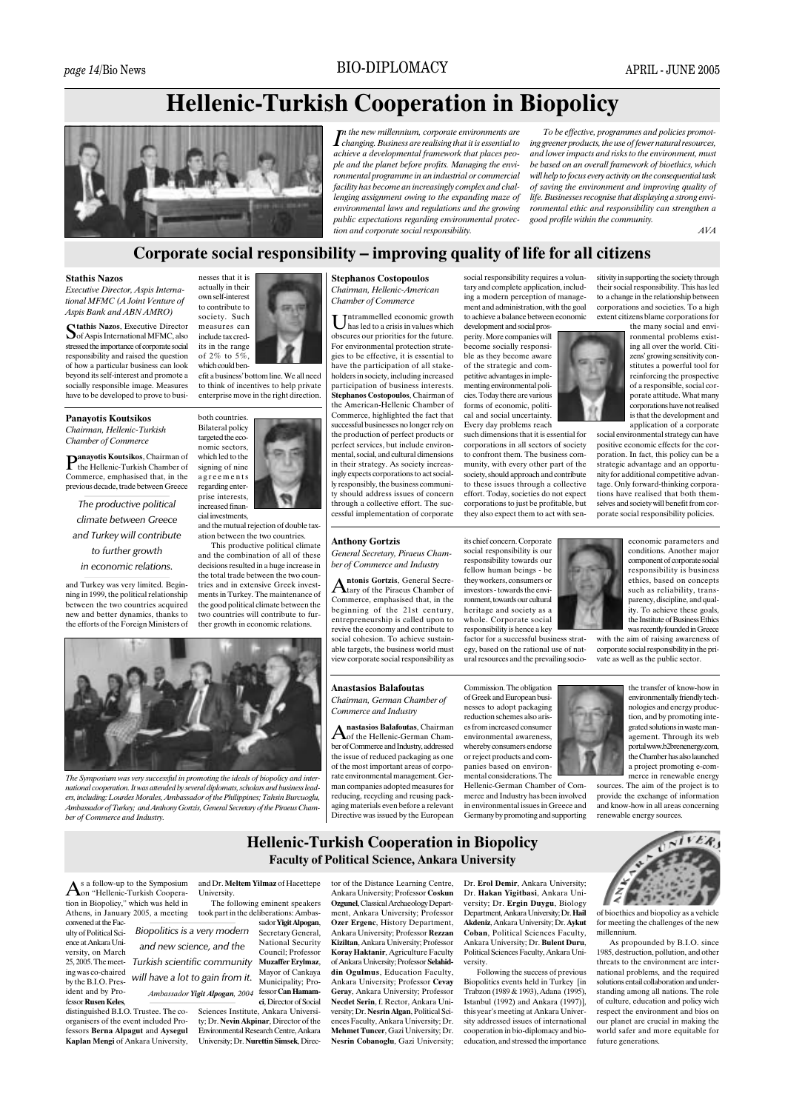## **Hellenic-Turkish Cooperation in Biopolicy**



the new millennium corporate environments are  $\boldsymbol{I}$  changing. Business are realising that it is essential to achieve a developmental framework that places people and the planet before profits. Managing the environmental programme in an industrial or commercial facility has become an increasingly complex and challenging assignment owing to the expanding maze of environmental laws and regulations and the growing public expectations regarding environmental protection and corporate social responsibility.

To be effective, programmes and policies promoting greener products, the use of fewer natural resources, and lower impacts and risks to the environment, must be based on an overall framework of bioethics, which will help to focus every activity on the consequential task of saving the environment and improving quality of life. Businesses recognise that displaying a strong environmental ethic and responsibility can strengthen a good profile within the community.

 $AVA$ 

## Corporate social responsibility – improving quality of life for all citizens

#### **Stathis Nazos**

Executive Director, Aspis International MFMC (A Joint Venture of Aspis Bank and ABN AMRO)

**Mathis Nazos**, Executive Director Sof Aspis International MFMC, also stressed the importance of corporate social responsibility and raised the question of how a particular business can look beyond its self-interest and promote a socially responsible image. Measures have to be developed to prove to busi-

#### **Panavotis Koutsikos**

Chairman, Hellenic-Turkish Chamber of Commerce

anavotis Koutsikos, Chairman of the Hellenic-Turkish Chamber of Commerce, emphasised that, in the previous decade, trade between Greece

The productive political climate between Greece and Turkey will contribute to further growth in economic relations.

and Turkey was very limited. Beginning in 1999, the political relationship between the two countries acquired new and better dynamics, thanks to the efforts of the Foreign Ministers of



both countries

**Bilateral policy** 

targeted the eco-

nomic sectors.

which led to the

signing of nine

agreements

regarding enter-

prise interests,

increased finan-

cial investments

The Symposium was very successful in promoting the ideals of biopolicy and inter

ers. including: Lourdes Morales. Ambassador of the Philippines: Tahsin Burcuoglu

Ambassador of Turkey; and Anthony Gortzis, General Secretary of the Piraeus Cham

nal cooperation. It was attended by several diplomats, scholars and business lead-

and the mutual rejection of double tax

and the combination of all of these

decisions resulted in a huge increase in

This productive political climate

ation between the two countries

## **Stephanos Costopoulos**

Chairman, Hellenic-American Chamber of Commerce

ntrammelled economic growth  $\bigcup$  has led to a crisis in values which obscures our priorities for the future. For environmental protection strategies to be effective, it is essential to have the participation of all stakeholders in society, including increased participation of business interests. Stephanos Costopoulos, Chairman of the American-Hellenic Chamber of Commerce, highlighted the fact that successful businesses no longer rely on the production of perfect products or perfect services, but include environr<br>mental, social, and cultural dimensions in their strategy. As society increasingly expects corporations to act socially responsibly, the business community should address issues of concern through a collective effort. The successful implementation of corporate

#### **Anthony Gortzis**

**General Secretary Piraeus Cham**ber of Commerce and Industry

ntonic Cortzie, General Secretary of the Piraeus Chamber of Commerce, emphasised that, in the beginning of the 21st century, entrepreneurship is called upon to revive the economy and contribute to social cohesion. To achieve sustainable targets, the business world must view corporate social responsibility as

social responsibility requires a voluntary and complete application, including a modern perception of management and administration, with the goal to achieve a balance between economic development and social pros-

perity. More companies will become socially responsible as they become aware of the strategic and competitive advantages in implementing environmental policies. Today there are various forms of economic, political and social uncertainty. Every day problems reach

such dimensions that it is essential for corporations in all sectors of society to confront them. The business community, with every other part of the society, should approach and contribute to these issues through a collective effort. Today, societies do not expect corporations to just be profitable, but they also expect them to act with sen-

its chief concern. Corporate social responsibility is our<br>responsibility towards our fellow human beings - be they workers, consumers or investors - towards the environment, towards our cultural heritage and society as a whole. Corporate social responsibility is hence a key

egy, based on the rational use of natural resources and the prevailing socio-

Commission. The obligation of Greek and European businesses to adopt packaging reduction schemes also arises from increased consumer environmental awareness, whereby consumers endorse or reject products and com-

merce and Industry has been involved in environmental issues in Greece and Germany by promoting and supporting



the transfer of know-how in environmentally friendly technologies and energy production, and by promoting integrated solutions in waste management. Through its web portal www.b2brenenergy.com,<br>the Chamber has also launched a project promoting e-commerce in renewable energy

renewable energy sources.

## **Hellenic-Turkish Cooperation in Biopolicy Faculty of Political Science, Ankara University**

s a follow-up to the Symposium  $A$ on "Hellenic-Turkish Cooperation in Biopolicy," which was held in Athens, in January 2005, a meeting

ber of Commerce and Industry.

convened at the Faculty of Political Science at Ankara University, on March 25 2005 The meeting was co-chaired by the  $BIO$  President and by Professor Rusen Keles.

distinguished B.I.O. Trustee. The coorganisers of the event included Professors Berna Alpagut and Aysegul Kaplan Mengi of Ankara University, and Dr. Meltem Yilmaz of Hacettene University

The following eminent speakers took part in the deliberations: Ambassador Yigit Alpogan, Biopolitics is a very modern Secretary General, National Security and new science, and the Council: Professor Muzaffer Ervlmaz. Turkish scientific community Mayor of Cankaya will have a lot to gain from it. Municipality; Professor Can Hamam Ambassador Yigit Alpogan, 2004 ci. Director of Social

Sciences Institute, Ankara University; Dr. Nevin Akpinar, Director of the Environmental Research Centre, Ankara University; Dr. Nurettin Simsek, Direc-

#### tor of the Distance Learning Centre. Ankara University: Professor Coskun **Ozgunel**, Classical Archaeology Depart ment, Ankara University; Professor Ozer Ergenc, History Department, Ankara University; Professor Rezzan Kiziltan, Ankara University; Professor Koray Haktanir, Agriculture Faculty of Ankara University; Professor Selahiddin Ogulmus, Education Faculty Ankara University; Professor Cevay Gerav, Ankara University: Professor Necdet Serin, f. Rector, Ankara University; Dr. Nesrin Algan, Political Sciences Faculty, Ankara University; Dr. Mehmet Tuncer, Gazi University: Dr. Nesrin Cobanoglu, Gazi University;

Dr. Erol Demir, Ankara University: Dr. Hakan Yigithasi, Ankara University; Dr. Ergin Duygu, Biology Department, Ankara University; Dr. Hail Akdeniz, Ankara University: Dr. Avkut Coban, Political Sciences Faculty, Ankara University; Dr. Bulent Duru. Political Sciences Faculty, Ankara University

Following the success of previous Biopolitics events held in Turkey [in Trabzon (1989 & 1993), Adana (1995), Istanbul  $(1992)$  and Ankara  $(1997)$ this year's meeting at Ankara University addressed issues of international cooperation in bio-diplomacy and bioeducation, and stressed the importance



porate social responsibility policies.

sitivity in supporting the society through

their social responsibility. This has led

to a change in the relationship between

corporations and societies. To a high

extent citizens blame corporations for

the many social and envi-

ronmental problems existing all over the world. Citi-

zens' growing sensitivity con-

stitutes a powerful tool for

reinforcing the prospective

of a responsible, social cor-

porate attitude. What many

corporations have not realised

is that the development and

application of a corporate

economic parameters and conditions. Another major component of corporate social responsibility is business ethics hased on concents such as reliability, transparency, discipline, and quality. To achieve these goals, the Institute of Business Ethics was recently founded in Greece with the aim of raising awareness of

corporate social responsibility in the private as well as the public sector.

sources. The aim of the project is to provide the exchange of information and know-how in all areas concerning



of bioethics and biopolicy as a vehicle for meeting the challenges of the new millennium.

As propounded by B.I.O. since 1985, destruction, pollution, and other threats to the environment are international problems, and the required solutions entail collaboration and understanding among all nations. The role of culture, education and policy wich respect the environment and bios on our planet are crucial in making the world safer and more equitable for future generations

the total trade between the two coun tries and in extensive Greek invest ments in Turkey. The maintenance of<br>the good political climate between the two countries will contribute to fur ther growth in economic relations

**Anastasios Balafoutas** Chairman, German Chamber of Commerce and Industry

nastasios Balafoutas, Chairman of the Hellenic-German Chamber of Commerce and Industry, addressed the issue of reduced packaging as one of the most important areas of corporate environmental management German companies adopted measures for reducing, recycling and reusing packaging materials even before a relevant Directive was issued by the European

panies based on environmental considerations. The Hellenic-German Chamber of Com-

factor for a successful business strat-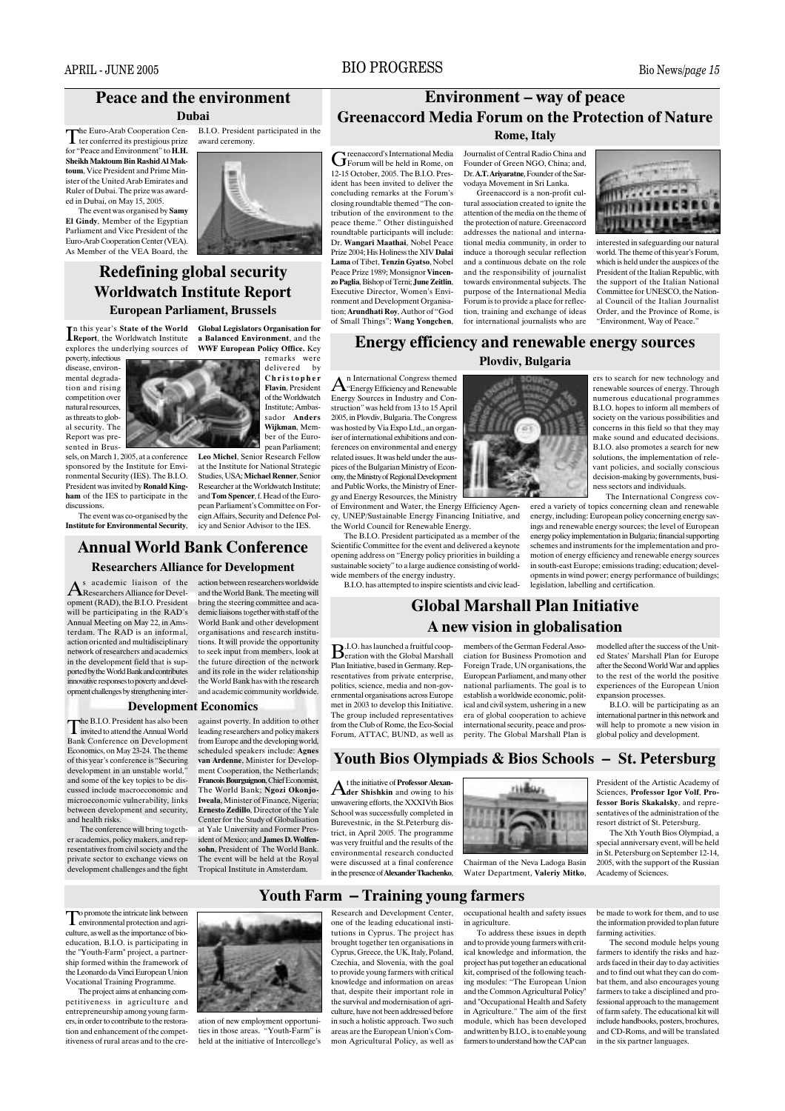ed in Dubai, on May 15, 2005.

## **BIO PROGRESS**

## **Peace and the environment**

### Duhai

The Euro-Arab Cooperation Cen-<br>Ter conferred its prestigious prize B.I.O. President participated in the award ceremony



## **Redefining global security Worldwatch Institute Report European Parliament, Brussels**

In this year's State of the World Global Legislators Organisation for<br>Report, the Worldwatch Institute a Balanced Environment, and the WWF European Policy Office. Key explores the underlying sources of

poverty, infectious disease, environmental degradation and rising competition over natural resources, as threats to global security. The Report was pre-

conted in Rrue. sels, on March 1, 2005, at a conference sponsored by the Institute for Environmental Security (IES). The B.I.O. President was invited by **Ronald King**ham of the IES to participate in the discussions

The event was co-organised by the **Institute for Environmental Security.** 

## icy and Senior Advisor to the IES **Annual World Bank Conference**

### **Researchers Alliance for Development**

opment (RAD), the B.I.O. President will be participating in the RAD's Annual Meeting on May 22, in Amsterdam The RAD is an informal action oriented and multidisciplinary network of researchers and academics in the development field that is supported by the World Bank and contributes innovative responses to poverty and development challenges by strengthening inter-

 $A<sup>s</sup>$  academic liaison of the action between researchers worldwide<br>Researchers Alliance for Devel- and the World Bank. The meeting will bring the steering committee and academic liaisons together with staff of the World Bank and other development organisations and research institutions. It will provide the opportunity to seek input from members, look at the future direction of the network and its role in the wider relationship the World Bank has with the research and academic community worldwide.

#### **Development Economics**

The B.I.O. President has also been<br>invited to attend the Annual World against poverty. In addition to other leading researchers and policy makers **Bank Conference on Development** from Europe and the developing world, Economics, on May 23-24. The theme scheduled speakers include: Agnes of this year's conference is "Securing van Ardenne, Minister for Developdevelopment in an unstable world," ment Cooperation, the Netherlands; and some of the key topics to be dis-Francois Bourguignon, Chief Economist, cussed include macroeconomic and The World Bank: Ngozi Okoniomicroeconomic vulnerability, links Iweala, Minister of Finance, Nigeria; between development and security, Ernesto Zedillo, Director of the Yale Center for the Study of Globalisation The conference will bring togethat Yale University and Former Pres er academics, policy makers, and repident of Mexico: and James D. Wolfensohn. President of The World Bank. resentatives from civil society and the The event will be held at the Royal private sector to exchange views on development challenges and the fight Tropical Institute in Amsterdam.

**Environment – way of peace Greenaccord Media Forum on the Protection of Nature Rome**, Italy

reenaccord's International Media  $G$  reenaccord s *international* 12-15 October, 2005. The B.I.O. President has been invited to deliver the concluding remarks at the Forum's closing roundtable themed "The contribution of the environment to the peace theme." Other distinguished .<br>roundtable participants will include: Dr Wangari Maathai Nobel Peace Prize 2004; His Holiness the XIV Dalai Lama of Tibet, Tenzin Gyatso, Nobel Peace Prize 1989: Monsignor Vincen. zo Paglia, Bishop of Terni; June Zeitlin, Executive Director, Women's Environment and Development Organisation; Arundhati Roy, Author of "God of Small Things"; Wang Yongchen,

**Journalist of Central Radio China and** Founder of Green NGO, China; and, Dr. A.T. Ariyaratne, Founder of the Sarvodava Movement in Sri Lanka

Greenacord is a non-profit cultural association created to ignite the attention of the media on the theme of the protection of nature. Greenaccord addresses the national and international media community in order to induce a thorough secular reflection and a continuous debate on the role and the responsibility of journalist towards environmental subjects. The purpose of the International Media Forum is to provide a place for reflection, training and exchange of ideas for international journalists who are



interested in safeguarding our natural world. The theme of this year's Forum, which is held under the auspices of the President of the Italian Republic, with the support of the Italian National Committee for UNESCO, the National Council of the Italian Iournalist Order, and the Province of Rome, is "Environment, Way of Peace."

## **Energy efficiency and renewable energy sources Ploydiv, Bulgaria**

n International Congress themed  $A$ <sup>n</sup> International Corp. Energy Sources in Industry and Construction" was held from 13 to 15 April 2005, in Plovdiv, Bulgaria. The Congress was hosted by Via Expo Ltd., an organiser of international exhibitions and conferences on environmental and energy related issues. It was held under the auspices of the Bulgarian Ministry of Economy, the Ministry of Regional Development and Public Works, the Ministry of Energy and Energy Resources, the Ministry

cy, UNEP/Sustainable Energy Financing Initiative, and the World Council for Renewable Energy. The B.I.O. President participated as a member of the

Scientific Committee for the event and delivered a keynote opening address on "Energy policy priorities in building a sustainable society" to a large audience consisting of world-<br>wide members of the energy industry.

of Environment and Water, the Energy Efficiency Agen-

ers to search for new technology and renewable sources of energy. Through numerous educational programmes B.I.O. hopes to inform all members of society on the various possibilities and concerns in this field so that they may make sound and educated decisions. B.I.O. also promotes a search for new solutions, the implementation of relevant policies, and socially conscious decision-making by governments, business sectors and individuals.

The International Congress covered a variety of topics concerning clean and renewable energy, including: European policy concerning energy savings and renewable energy sources; the level of European energy policy implementation in Bulgaria; financial supporting schemes and instruments for the implementation and promotion of energy efficiency and renewable energy sources in south-east Europe: emissions trading: education: developments in wind power: energy performance of buildings: legislation, labelling and certification.

A new vision in globalisation members of the German Federal Asso-

ciation for Business Promotion and Foreign Trade, UN organisations, the European Parliament, and many other national parliaments. The goal is to establish a worldwide economic, political and civil system, ushering in a new era of global cooperation to achieve international security, peace and pros-<br>perity. The Global Marshall Plan is



B.I.O. will be participating as an international partner in this network and will help to promote a new vision in<br>global policy and development.

President of the Artistic Academy of

Sciences, Professor Igor Volf, Pro-

fessor Boris Skakalsky, and repre-

sentatives of the administration of the

The Xth Youth Bios Olympiad, a

special anniversary event, will be held

in St. Petersburg on Sentember 12-14.

2005, with the support of the Russian

resort district of St. Petersburg.

Academy of Sciences.

## Youth Bios Olympiads & Bios Schools - St. Petersburg

t the initiative of Professor Alexan  $A$ <sup>t the finally of the second owing</sup> to his unwavering efforts, the XXXIVth Bios School was successfully completed in Burevestnic, in the St. Peterburg district, in April 2005. The programme was very fruitful and the results of the environmental research conducted were discussed at a final conference in the presence of Alexander Tkachenko.

from the Club of Rome, the Eco-Social<br>Forum, ATTAC, BUND, as well as



Chairman of the Neva Ladoga Basin Water Department, Valeriy Mitko,

be made to work for them, and to use the information provided to plan future farming activities.

The second module helps young farmers to identify the risks and hazards faced in their day to day activities and to find out what they can do combat them, and also encourages young farmers to take a disciplined and professional approach to the management of farm safety. The educational kit will include handbooks, posters, brochures, and CD-Roms, and will be translated in the six partner languages.

o promote the intricate link between Proprietive div all agricultural protection and agriculture, as well as the importance of bioeducation, B.I.O. is participating in the "Youth-Farm" project, a partnership formed within the framework of the Leonardo da Vinci European Union Vocational Training Programme.

and health risks

The project aims at enhancing competitiveness in agriculture and entrepreneurship among young farmers, in order to contribute to the restoration and enhancement of the competitiveness of rural areas and to the cre-



ation of new employment opportunities in those areas. "Youth-Farm" is held at the initiative of Intercollege's

Youth Farm – Training voung farmers Research and Development Center, one of the leading educational instiin agriculture.

tutions in Cyprus. The project has  $b$ rought together ten organisations in  $% \left\vert \left( \delta \right) \right\rangle$ Cyprus, Greece, the UK, Italy, Poland, Czechia, and Slovenia, with the goal to provide young farmers with critical<br>knowledge and information on areas that, despite their important role in the survival and modernisation of agriculture, have not been addressed before in such a holistic approach. Two such areas are the European Union's Common Agricultural Policy, as well as occupational health and safety issues

To address these issues in depth and to provide young farmers with critical knowledge and information, the project has put together an educational kit, comprised of the following teach-<br>ing modules: "The European Union and the Common Agricultural Policy" and "Occupational Health and Safety in Agriculture." The aim of the first module, which has been developed and written by B.I.O., is to enable young

farmers to understand how the CAP can

B.I.O. has attempted to inspire scientists and civic lead-

**Global Marshall Plan Initiative B**.I.O. has launched a fruitful coop-<br>**B**eration with the Global Marshall Plan Initiative, based in Germany. Representatives from private enterprise.

politics, science, media and non-governmental organisations across Europe met in 2003 to develop this Initiative. The group included representatives

Wiikman, Member of the Euronean Parliament Leo Michel, Senior Research Fellow at the Institute for National Strategic Studies IISA: Michael Renner Senior Researcher at the Worldwatch Institute; and Tom Spencer, f. Head of the European Parliament's Committee on Foreign Affairs, Security and Defence Pol-

remarks were<br>delivered by

Christopher

Flavin President

of the Worldwatch

Institute; Ambas-

sador **Anders**